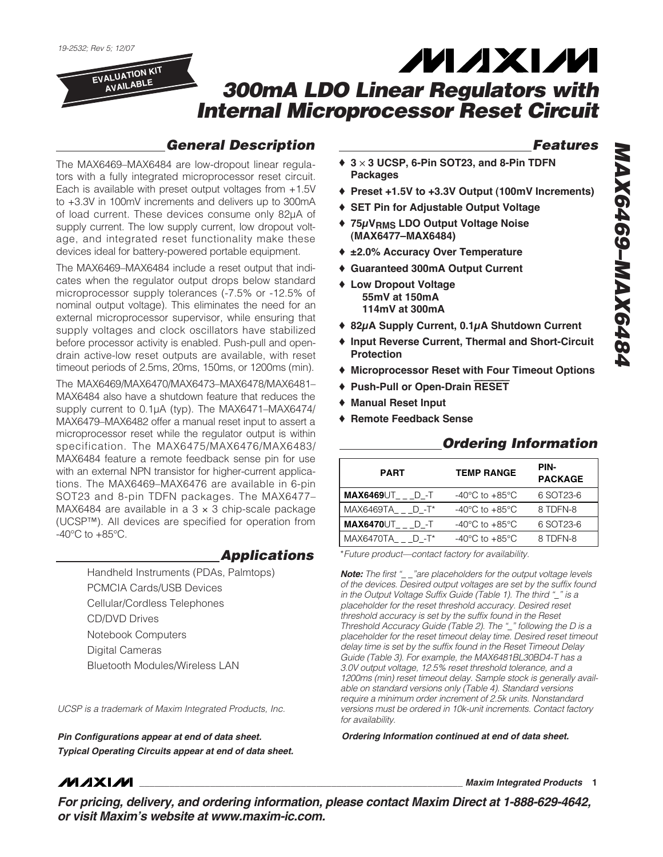**EVALUATION KIT AVAILABLE**

# *300mA LDO Linear Regulators with Internal Microprocessor Reset Circuit*

### *General Description*

The MAX6469–MAX6484 are low-dropout linear regulators with a fully integrated microprocessor reset circuit. Each is available with preset output voltages from +1.5V to +3.3V in 100mV increments and delivers up to 300mA of load current. These devices consume only 82µA of supply current. The low supply current, low dropout voltage, and integrated reset functionality make these devices ideal for battery-powered portable equipment.

The MAX6469–MAX6484 include a reset output that indicates when the regulator output drops below standard microprocessor supply tolerances (-7.5% or -12.5% of nominal output voltage). This eliminates the need for an external microprocessor supervisor, while ensuring that supply voltages and clock oscillators have stabilized before processor activity is enabled. Push-pull and opendrain active-low reset outputs are available, with reset timeout periods of 2.5ms, 20ms, 150ms, or 1200ms (min).

The MAX6469/MAX6470/MAX6473–MAX6478/MAX6481– MAX6484 also have a shutdown feature that reduces the supply current to 0.1µA (typ). The MAX6471–MAX6474/ MAX6479–MAX6482 offer a manual reset input to assert a microprocessor reset while the regulator output is within specification. The MAX6475/MAX6476/MAX6483/ MAX6484 feature a remote feedback sense pin for use with an external NPN transistor for higher-current applications. The MAX6469–MAX6476 are available in 6-pin SOT23 and 8-pin TDFN packages. The MAX6477– MAX6484 are available in a  $3 \times 3$  chip-scale package (UCSP™). All devices are specified for operation from  $-40^{\circ}$ C to  $+85^{\circ}$ C.

> *Applications* Handheld Instruments (PDAs, Palmtops) PCMCIA Cards/USB Devices Cellular/Cordless Telephones CD/DVD Drives Notebook Computers Digital Cameras Bluetooth Modules/Wireless LAN

*UCSP is a trademark of Maxim Integrated Products, Inc.*

*Pin Configurations appear at end of data sheet. Ordering Information continued at end of data sheet. Typical Operating Circuits appear at end of data sheet.*

### *Features*

- ♦ **3** ✕ **3 UCSP, 6-Pin SOT23, and 8-Pin TDFN Packages**
- ♦ **Preset +1.5V to +3.3V Output (100mV Increments)**

**MAXM** 

- ♦ **SET Pin for Adjustable Output Voltage**
- ♦ **75μVRMS LDO Output Voltage Noise (MAX6477–MAX6484)**
- ♦ **±2.0% Accuracy Over Temperature**
- ♦ **Guaranteed 300mA Output Current**
- ♦ **Low Dropout Voltage 55mV at 150mA 114mV at 300mA**
- ♦ **82μA Supply Current, 0.1μA Shutdown Current**
- ♦ **Input Reverse Current, Thermal and Short-Circuit Protection**
- ♦ **Microprocessor Reset with Four Timeout Options**
- ♦ **Push-Pull or Open-Drain** RESET
- ♦ **Manual Reset Input**
- ♦ **Remote Feedback Sense**

| <b>PART</b>                          | <b>TEMP RANGE</b>                  | PIN-<br><b>PACKAGE</b> |
|--------------------------------------|------------------------------------|------------------------|
| $MAX6469 \cup T$ <sub>___</sub> D_-T | $-40^{\circ}$ C to $+85^{\circ}$ C | 6 SOT23-6              |
| MAX6469TA D-T*                       | $-40^{\circ}$ C to $+85^{\circ}$ C | 8 TDFN-8               |
| $MAX6470\cup T$ ___D_-T              | $-40^{\circ}$ C to $+85^{\circ}$ C | 6 SOT23-6              |
| $MAX6470TA$ $D - T^*$                | $-40^{\circ}$ C to $+85^{\circ}$ C | 8 TDFN-8               |

#### *Ordering Information*

\**Future product—contact factory for availability.*

*Note: The first "\_\_\_"are placeholders for the output voltage levels of the devices. Desired output voltages are set by the suffix found in the Output Voltage Suffix Guide (Table 1). The third "\_" is a placeholder for the reset threshold accuracy. Desired reset threshold accuracy is set by the suffix found in the Reset Threshold Accuracy Guide (Table 2). The "\_" following the D is a placeholder for the reset timeout delay time. Desired reset timeout delay time is set by the suffix found in the Reset Timeout Delay Guide (Table 3). For example, the MAX6481BL30BD4-T has a 3.0V output voltage, 12.5% reset threshold tolerance, and a 1200ms (min) reset timeout delay. Sample stock is generally available on standard versions only (Table 4). Standard versions require a minimum order increment of 2.5k units. Nonstandard versions must be ordered in 10k-unit increments. Contact factory for availability.*

## **MAXIM**

**\_\_\_\_\_\_\_\_\_\_\_\_\_\_\_\_\_\_\_\_\_\_\_\_\_\_\_\_\_\_\_\_\_\_\_\_\_\_\_\_\_\_\_\_\_\_\_\_\_\_\_\_\_\_\_\_\_\_\_\_\_\_\_\_** *Maxim Integrated Products* **1**

*For pricing, delivery, and ordering information, please contact Maxim Direct at 1-888-629-4642, or visit Maxim's website at www.maxim-ic.com.*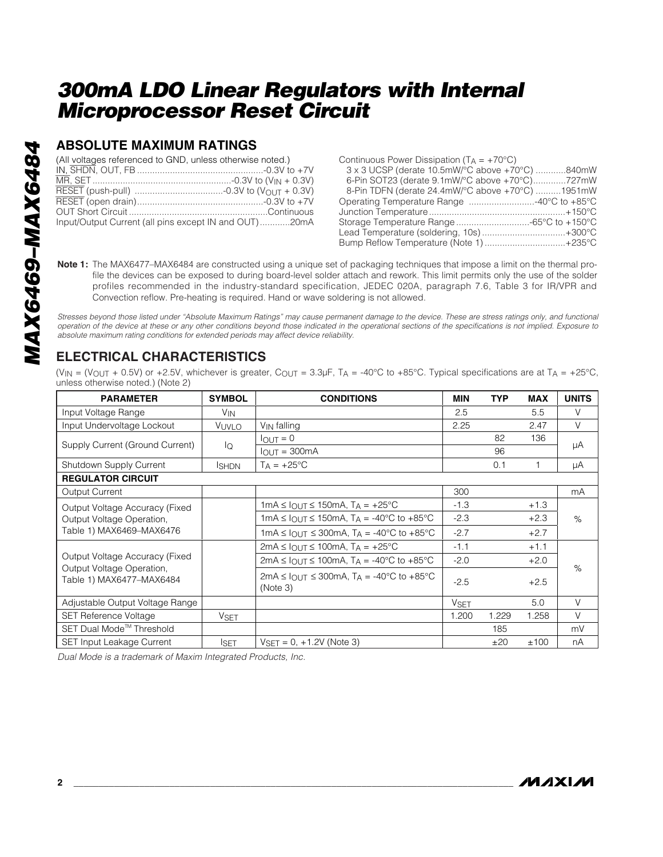### **ABSOLUTE MAXIMUM RATINGS**

| (All voltages referenced to GND, unless otherwise noted.) |  |
|-----------------------------------------------------------|--|
|                                                           |  |
|                                                           |  |
|                                                           |  |
|                                                           |  |
|                                                           |  |
| Input/Output Current (all pins except IN and OUT)20mA     |  |

| Continuous Power Dissipation $(T_A = +70^{\circ}C)$ |  |
|-----------------------------------------------------|--|
| 3 x 3 UCSP (derate 10.5mW/°C above +70°C) 840mW     |  |
| 6-Pin SOT23 (derate 9.1mW/°C above +70°C)727mW      |  |
| 8-Pin TDFN (derate 24.4mW/°C above +70°C) 1951mW    |  |
| Operating Temperature Range 40°C to +85°C           |  |
|                                                     |  |
| Storage Temperature Range -65°C to +150°C           |  |
| Lead Temperature (soldering, 10s)+300°C             |  |
| Bump Reflow Temperature (Note 1)+235°C              |  |
|                                                     |  |

**Note 1:** The MAX6477–MAX6484 are constructed using a unique set of packaging techniques that impose a limit on the thermal profile the devices can be exposed to during board-level solder attach and rework. This limit permits only the use of the solder profiles recommended in the industry-standard specification, JEDEC 020A, paragraph 7.6, Table 3 for IR/VPR and Convection reflow. Pre-heating is required. Hand or wave soldering is not allowed.

*Stresses beyond those listed under "Absolute Maximum Ratings" may cause permanent damage to the device. These are stress ratings only, and functional operation of the device at these or any other conditions beyond those indicated in the operational sections of the specifications is not implied. Exposure to absolute maximum rating conditions for extended periods may affect device reliability.*

### **ELECTRICAL CHARACTERISTICS**

(V<sub>IN</sub> = (V<sub>OUT</sub> + 0.5V) or +2.5V, whichever is greater, C<sub>OUT</sub> = 3.3µF, T<sub>A</sub> = -40°C to +85°C. Typical specifications are at T<sub>A</sub> = +25°C, unless otherwise noted.) (Note 2)

| <b>PARAMETER</b>                                      | <b>SYMBOL</b>   | <b>CONDITIONS</b>                                                       | MIN         | <b>TYP</b> | <b>MAX</b> | <b>UNITS</b> |  |
|-------------------------------------------------------|-----------------|-------------------------------------------------------------------------|-------------|------------|------------|--------------|--|
| Input Voltage Range                                   | V <sub>IN</sub> |                                                                         | 2.5         |            | 5.5        | V            |  |
| Input Undervoltage Lockout                            | VUVLO           | V <sub>IN</sub> falling                                                 | 2.25        |            | 2.47       | V            |  |
| Supply Current (Ground Current)                       |                 | $I_{\text{OUT}} = 0$                                                    |             | 82         | 136        |              |  |
|                                                       | lQ              | $IQUT = 300mA$                                                          |             | 96         |            | μA           |  |
| Shutdown Supply Current                               | <b>ISHDN</b>    | $TA = +25^{\circ}C$                                                     |             | 0.1        |            | μA           |  |
| <b>REGULATOR CIRCUIT</b>                              |                 |                                                                         |             |            |            |              |  |
| <b>Output Current</b>                                 |                 |                                                                         | 300         |            |            | mA           |  |
| Output Voltage Accuracy (Fixed                        |                 | 1mA $\leq$ $I_{\text{OUT}} \leq$ 150mA, T <sub>A</sub> = +25 °C         | $-1.3$      |            | $+1.3$     |              |  |
| Output Voltage Operation,                             |                 | 1mA $\leq$ $I_{\text{OUT}} \leq$ 150mA, T <sub>A</sub> = -40°C to +85°C | $-2.3$      |            | $+2.3$     | $\%$         |  |
| Table 1) MAX6469-MAX6476                              |                 | 1mA $\leq$ $I_{\text{OUT}} \leq$ 300mA, T <sub>A</sub> = -40°C to +85°C | $-2.7$      |            | $+2.7$     |              |  |
|                                                       |                 | $2mA \leq I_{OU}T \leq 100mA$ , $T_A = +25^{\circ}C$                    | $-1.1$      |            | $+1.1$     |              |  |
| Output Voltage Accuracy (Fixed                        |                 | $2mA \leq I_{OUT} \leq 100mA$ , T <sub>A</sub> = -40°C to +85°C         | $-2.0$      |            | $+2.0$     |              |  |
| Output Voltage Operation,<br>Table 1) MAX6477-MAX6484 |                 | 2mA ≤ $I_{O[1]T}$ ≤ 300mA, T <sub>A</sub> = -40°C to +85°C<br>(Note 3)  | $-2.5$      |            | $+2.5$     | $\%$         |  |
| Adjustable Output Voltage Range                       |                 |                                                                         | <b>VSET</b> |            | 5.0        | $\vee$       |  |
| <b>SET Reference Voltage</b>                          | <b>VSET</b>     |                                                                         | 1.200       | 1.229      | 1.258      | V            |  |
| SET Dual Mode <sup>™</sup> Threshold                  |                 |                                                                         |             | 185        |            | mV           |  |
| <b>SET Input Leakage Current</b>                      | <b>ISET</b>     | $VSET = 0, +1.2V$ (Note 3)                                              |             | ±20        | ±100       | nA           |  |

*Dual Mode is a trademark of Maxim Integrated Products, Inc.*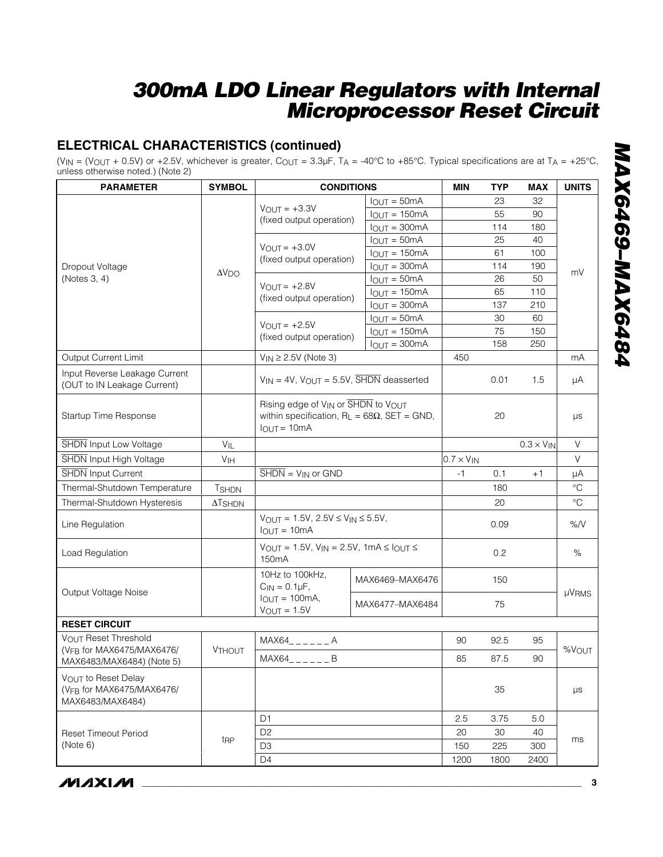### **ELECTRICAL CHARACTERISTICS (continued)**

(V<sub>IN</sub> = (V<sub>OUT</sub> + 0.5V) or +2.5V, whichever is greater, C<sub>OUT</sub> = 3.3µF, T<sub>A</sub> = -40°C to +85°C. Typical specifications are at T<sub>A</sub> = +25°C, unless otherwise noted.) (Note 2)

| <b>PARAMETER</b>                                                     | <b>SYMBOL</b>              | <b>CONDITIONS</b>                                                                                          | <b>MIN</b>        | <b>TYP</b>          | <b>MAX</b>          | <b>UNITS</b> |                 |
|----------------------------------------------------------------------|----------------------------|------------------------------------------------------------------------------------------------------------|-------------------|---------------------|---------------------|--------------|-----------------|
|                                                                      |                            |                                                                                                            | $I_{OUT} = 50mA$  |                     | 23                  | 32           |                 |
|                                                                      |                            | $V_{OUIT} = +3.3V$<br>(fixed output operation)                                                             | $I_{OUT} = 150mA$ |                     | 55                  | 90           |                 |
|                                                                      |                            |                                                                                                            | $I_{OUT} = 300mA$ |                     | 114                 | 180          |                 |
|                                                                      |                            | $V_{OUT} = +3.0V$                                                                                          | $I_{OUT} = 50mA$  |                     | 25                  | 40           |                 |
|                                                                      |                            | (fixed output operation)                                                                                   | $I_{OUT} = 150mA$ |                     | 61                  | 100          |                 |
| Dropout Voltage                                                      | $\Delta \rm V_{\rm DO}$    |                                                                                                            | $I_{OUT} = 300mA$ |                     | 114                 | 190          | mV              |
| (Notes 3, 4)                                                         |                            | $V_{OUT} = +2.8V$                                                                                          | $I_{OUT} = 50mA$  |                     | 26                  | 50           |                 |
|                                                                      |                            | (fixed output operation)                                                                                   | $I_{OUT} = 150mA$ |                     | 65                  | 110          |                 |
|                                                                      |                            |                                                                                                            | $I_{OUT} = 300mA$ |                     | 137                 | 210          |                 |
|                                                                      |                            | $V_{OUT} = +2.5V$                                                                                          | $I_{OUT} = 50mA$  |                     | 30                  | 60           |                 |
|                                                                      |                            | (fixed output operation)                                                                                   | $I_{OUT} = 150mA$ |                     | 75                  | 150          |                 |
|                                                                      |                            |                                                                                                            | $I_{OUT} = 300mA$ |                     | 158                 | 250          |                 |
| Output Current Limit                                                 |                            | $V_{IN} \geq 2.5V$ (Note 3)                                                                                |                   | 450                 |                     |              | mA              |
| Input Reverse Leakage Current<br>(OUT to IN Leakage Current)         |                            | $V_{IN} = 4V$ , $V_{OUT} = 5.5V$ , $\overline{SHDN}$ deasserted                                            |                   |                     | 0.01                | 1.5          | μA              |
| Startup Time Response                                                |                            | Rising edge of VIN or SHDN to VOUT<br>within specification, $R_L = 68\Omega$ , SET = GND,<br>$IOUT = 10mA$ |                   | 20                  |                     | μs           |                 |
| <b>SHDN</b> Input Low Voltage                                        | $V_{IL}$                   |                                                                                                            |                   |                     | $0.3 \times V_{IN}$ | V            |                 |
| <b>SHDN</b> Input High Voltage                                       | V <sub>IH</sub>            |                                                                                                            |                   | $0.7 \times V_{IN}$ |                     |              | V               |
| SHDN Input Current                                                   |                            | $\overline{\text{SHDN}} = V_{\text{IN}}$ or GND                                                            |                   | $-1$                | 0.1                 | $+1$         | μA              |
| Thermal-Shutdown Temperature                                         | <b>TSHDN</b>               |                                                                                                            |                   |                     | 180                 |              | $\rm ^{\circ}C$ |
| Thermal-Shutdown Hysteresis                                          | $\Delta$ T <sub>SHDN</sub> |                                                                                                            |                   |                     | 20                  |              | $\rm ^{\circ}C$ |
| Line Regulation                                                      |                            | $V_{OUT} = 1.5V$ , $2.5V \le V_{IN} \le 5.5V$ ,<br>$IQUJT = 10mA$                                          |                   | 0.09                |                     | %N           |                 |
| Load Regulation                                                      |                            | $V_{OUT} = 1.5V$ , $V_{IN} = 2.5V$ , 1mA $\leq$ $I_{OUT} \leq$<br>150 <sub>m</sub> A                       |                   |                     | 0.2                 |              | $\%$            |
| Output Voltage Noise                                                 |                            | 10Hz to 100kHz,<br>$C_{IN} = 0.1 \mu F$ ,                                                                  | MAX6469-MAX6476   |                     | 150                 |              | µVRMS           |
|                                                                      |                            | $I_{OUT} = 100mA$ ,<br>$V_{OUT} = 1.5V$                                                                    | MAX6477-MAX6484   | 75                  |                     |              |                 |
| <b>RESET CIRCUIT</b>                                                 |                            |                                                                                                            |                   |                     |                     |              |                 |
| <b>VOUT Reset Threshold</b>                                          |                            | $MAX64$ <sub>-----</sub> A                                                                                 |                   | 90                  | 92.5                | 95           |                 |
| (VFB for MAX6475/MAX6476/<br>MAX6483/MAX6484) (Note 5)               | <b>VTHOUT</b>              | MAX64<br>B                                                                                                 | 85                | 87.5                | 90                  | %VOUT        |                 |
| VOUT to Reset Delay<br>(VFB for MAX6475/MAX6476/<br>MAX6483/MAX6484) |                            |                                                                                                            |                   |                     | 35                  |              | $\mu s$         |
|                                                                      |                            | D <sub>1</sub>                                                                                             |                   | 2.5                 | 3.75                | 5.0          |                 |
| <b>Reset Timeout Period</b>                                          |                            | D <sub>2</sub>                                                                                             | 20                | 30                  | 40                  |              |                 |
| (Note 6)                                                             | t <sub>RP</sub>            | D <sub>3</sub>                                                                                             |                   | 150                 | 225                 | 300          | ms              |
|                                                                      |                            | D <sub>4</sub>                                                                                             |                   | 1200                | 1800                | 2400         |                 |

*MAX6469–MAX6484* MAX6469-MAX6484

**MAXIM**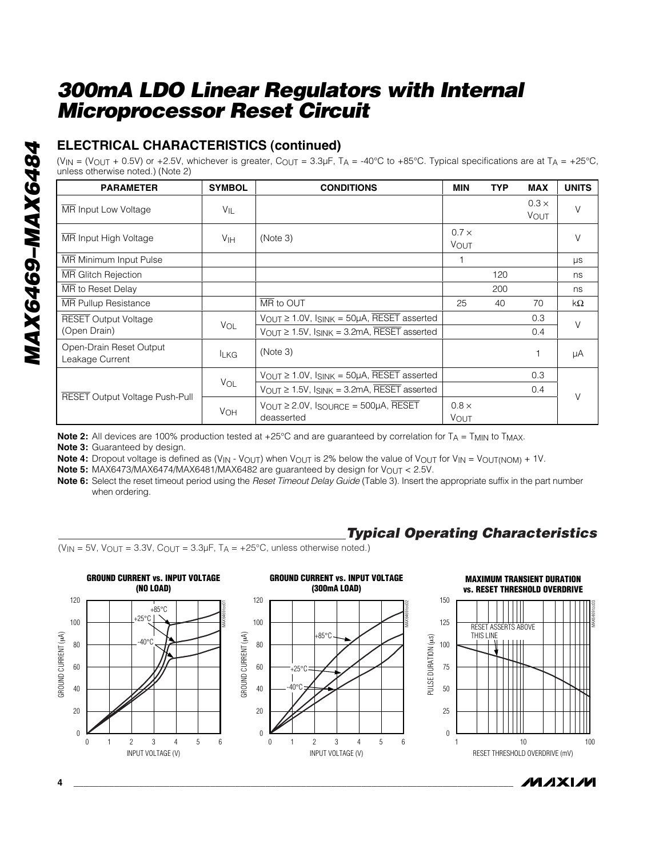### **ELECTRICAL CHARACTERISTICS (continued)**

(V<sub>IN</sub> = (V<sub>OUT</sub> + 0.5V) or +2.5V, whichever is greater, C<sub>OUT</sub> = 3.3µF, T<sub>A</sub> = -40°C to +85°C. Typical specifications are at T<sub>A</sub> = +25°C, unless otherwise noted.) (Note 2)

| <b>PARAMETER</b>                           | <b>SYMBOL</b>   | <b>CONDITIONS</b>                                                               | <b>MIN</b>           | <b>TYP</b> | <b>MAX</b>           | <b>UNITS</b> |
|--------------------------------------------|-----------------|---------------------------------------------------------------------------------|----------------------|------------|----------------------|--------------|
| MR Input Low Voltage                       | VIL             |                                                                                 |                      |            | $0.3 \times$<br>VOUT | V            |
| MR Input High Voltage                      | V <sub>IH</sub> | (Note 3)                                                                        | $0.7 \times$<br>VOUT |            |                      | $\vee$       |
| MR Minimum Input Pulse                     |                 |                                                                                 |                      |            |                      | <b>US</b>    |
| <b>MR Glitch Rejection</b>                 |                 |                                                                                 |                      | 120        |                      | ns           |
| MR to Reset Delay                          |                 |                                                                                 |                      | 200        |                      | ns           |
| <b>MR</b> Pullup Resistance                |                 | MR to OUT                                                                       | 25                   | 40         | 70                   | kΩ           |
| <b>RESET Output Voltage</b>                |                 | $V_{\text{OUT}} \geq 1.0V$ , $I_{\text{SINK}} = 50\mu\text{A}$ , RESET asserted |                      |            | 0.3                  | $\vee$       |
| (Open Drain)                               | VOL             | $V_{OUT} \ge 1.5V$ , $I_{SINK} = 3.2mA$ , RESET asserted                        |                      |            | 0.4                  |              |
| Open-Drain Reset Output<br>Leakage Current | <b>LKG</b>      | (Note 3)                                                                        |                      |            |                      | μA           |
| <b>RESET Output Voltage Push-Pull</b>      |                 | $V_{\text{OUT}} \geq 1.0V$ , $I_{\text{SINK}} = 50\mu\text{A}$ , RESET asserted |                      |            | 0.3                  |              |
|                                            | VOL             | $V_{OUT} \ge 1.5V$ , ISINK = 3.2mA, RESET asserted                              |                      |            | 0.4                  | $\vee$       |
|                                            | <b>VOH</b>      | $V_{\text{OUT}} \geq 2.0 V$ , Isource = 500µA, RESET<br>deasserted              | $0.8 \times$<br>VOUT |            |                      |              |

**Note 2:** All devices are 100% production tested at +25°C and are guaranteed by correlation for T<sub>A</sub> = T<sub>MIN</sub> to T<sub>MAX</sub>.

**Note 3:** Guaranteed by design.

**Note 4:** Dropout voltage is defined as (V<sub>IN</sub> - V<sub>OUT</sub>) when V<sub>OUT</sub> is 2% below the value of V<sub>OUT</sub> for V<sub>IN</sub> = V<sub>OUT(NOM)</sub> + 1V.

**Note 5:** MAX6473/MAX6474/MAX6481/MAX6482 are guaranteed by design for V<sub>OUT</sub> < 2.5V.

**Note 6:** Select the reset timeout period using the *Reset Timeout Delay Guide* (Table 3). Insert the appropriate suffix in the part number when ordering.

# *Typical Operating Characteristics*

 $(V_{IN} = 5V$ ,  $V_{OUT} = 3.3V$ ,  $C_{OUT} = 3.3\mu F$ ,  $T_A = +25^{\circ}C$ , unless otherwise noted.)

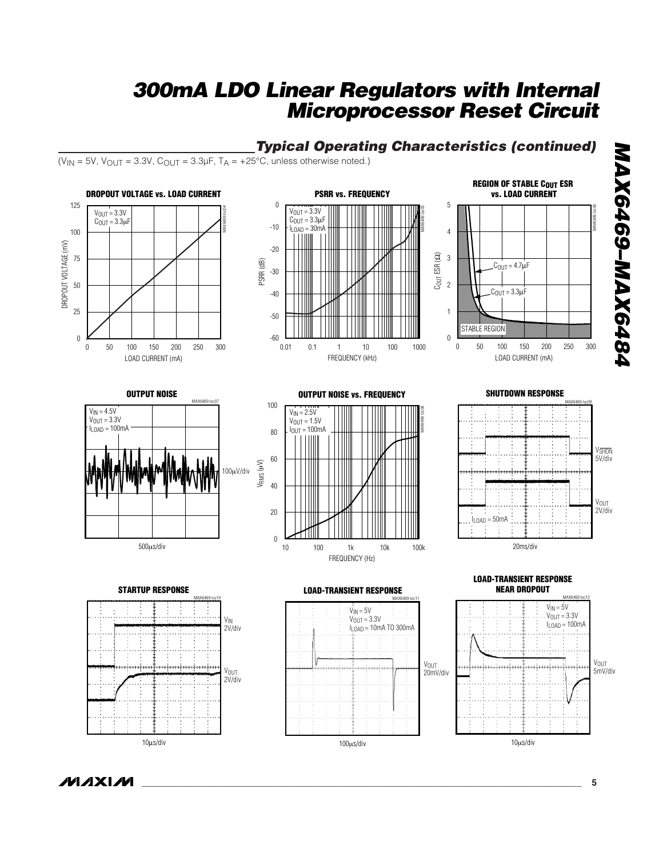*Typical Operating Characteristics (continued)*

#### ( $V_{IN}$  = 5V,  $V_{OUT}$  = 3.3V,  $C_{OUT}$  = 3.3µF,  $T_A$  = +25°C, unless otherwise noted.) **REGION OF STABLE COUT ESR DROPOUT VOLTAGE vs. LOAD CURRENT PSRR vs. FREQUENCY vs. LOAD CURRENT** 125  $\boldsymbol{0}$ 5 MAX6469 toc06 MAX6469 toc04  $V_{\text{OUT}} = 3.3V$ MAX6469 toc05  $V_{OUT} = 3.3V$  $C<sub>OUT</sub> = 3.3 \mu F$  $C_{\text{OUT}} = 3.3 \mu F$ -10  $I_{\text{LOAD}} = 30 \text{mA}$ 100 4 DROPOUT VOLTAGE (mV) DROPOUT VOLTAGE (mV) -20  $\widehat{\text{G}}$ 75 3 PSRR (dB) COUT ESR ( 2  $C<sub>OUT</sub> = 4.7<sub>µ</sub>F$ -30 50  $C_{\text{OUT}} = 3.3 \mu F$ -40 25 1 -50 STABLE REGION  $-60$  **L**<br>0.01 0  $\boldsymbol{0}$ 0 50 100 150 200 250 300 50 100 150 200 250 0.01 1000 0.1 1 10 100 0 50 100 150 200 250 300 50 100 150 200 250 LOAD CURRENT (mA) FREQUENCY (kHz) LOAD CURRENT (mA)

#### **SHUTDOWN RESPONSE**

*MAX6469–MAX6484*

MAX6469-MAX6484









**OUTPUT NOISE**



**STARTUP RESPONSE** MAX6469 toc10 VIN 2V/div ...................... V<sub>OUT</sub> 2V/div 10μs/div





#### **LOAD-TRANSIENT RESPONSE**



MMXIM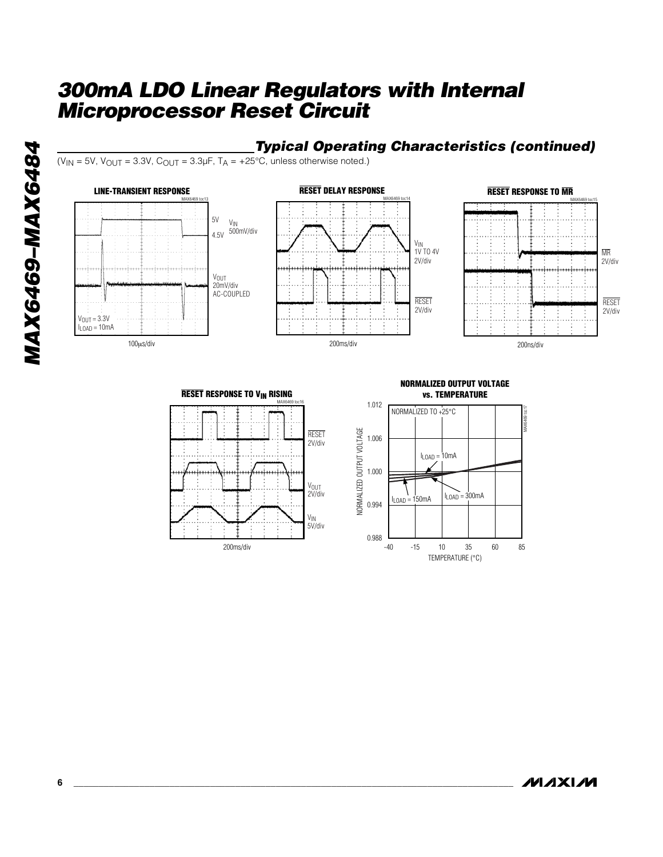### *Typical Operating Characteristics (continued)*

V<sub>IN</sub><br>1V TO 4V

RESET 2V/div

MAX6469 toc14

( $V_{IN}$  = 5V,  $V_{OUT}$  = 3.3V,  $C_{OUT}$  = 3.3µF,  $T_A$  = +25°C, unless otherwise noted.)

#### **LINE-TRANSIENT RESPONSE**





**RESET DELAY RESPONSE** 





#### **NORMALIZED OUTPUT VOLTAGE vs. TEMPERATURE**



**MAXIM**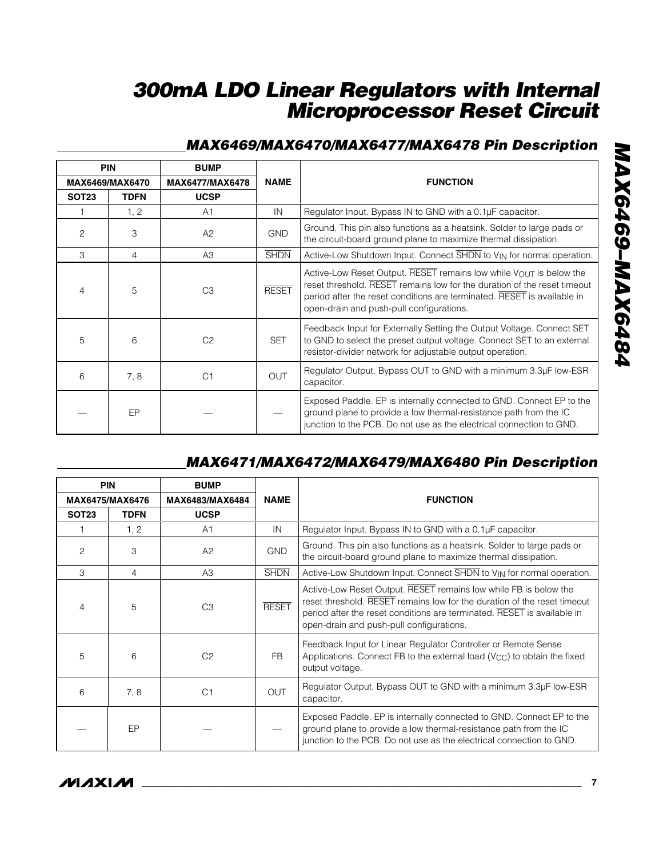### *MAX6469/MAX6470/MAX6477/MAX6478 Pin Description*

|              | <b>PIN</b>      | <b>BUMP</b>     |              |                                                                                                                                                                                                                                                                       |
|--------------|-----------------|-----------------|--------------|-----------------------------------------------------------------------------------------------------------------------------------------------------------------------------------------------------------------------------------------------------------------------|
|              | MAX6469/MAX6470 | MAX6477/MAX6478 | <b>NAME</b>  | <b>FUNCTION</b>                                                                                                                                                                                                                                                       |
| <b>SOT23</b> | <b>TDFN</b>     | <b>UCSP</b>     |              |                                                                                                                                                                                                                                                                       |
|              | 1, 2            | A1              | IN           | Regulator Input. Bypass IN to GND with a 0.1µF capacitor.                                                                                                                                                                                                             |
| 2            | 3               | A2              | <b>GND</b>   | Ground. This pin also functions as a heatsink. Solder to large pads or<br>the circuit-board ground plane to maximize thermal dissipation.                                                                                                                             |
| 3            | $\overline{4}$  | A3              | <b>SHDN</b>  | Active-Low Shutdown Input. Connect SHDN to V <sub>IN</sub> for normal operation.                                                                                                                                                                                      |
| 4            | 5               | C <sub>3</sub>  | <b>RESET</b> | Active-Low Reset Output. RESET remains low while VOUT is below the<br>reset threshold. RESET remains low for the duration of the reset timeout<br>period after the reset conditions are terminated. RESET is available in<br>open-drain and push-pull configurations. |
| 5            | 6               | C <sub>2</sub>  | <b>SET</b>   | Feedback Input for Externally Setting the Output Voltage. Connect SET<br>to GND to select the preset output voltage. Connect SET to an external<br>resistor-divider network for adjustable output operation.                                                          |
| 6            | 7,8             | C <sub>1</sub>  | <b>OUT</b>   | Regulator Output. Bypass OUT to GND with a minimum 3.3µF low-ESR<br>capacitor.                                                                                                                                                                                        |
|              | EP              |                 |              | Exposed Paddle. EP is internally connected to GND. Connect EP to the<br>ground plane to provide a low thermal-resistance path from the IC<br>junction to the PCB. Do not use as the electrical connection to GND.                                                     |

## *MAX6471/MAX6472/MAX6479/MAX6480 Pin Description*

|                        | <b>PIN</b>  | <b>BUMP</b>     |              |                                                                                                                                                                                                                                                                     |
|------------------------|-------------|-----------------|--------------|---------------------------------------------------------------------------------------------------------------------------------------------------------------------------------------------------------------------------------------------------------------------|
| <b>MAX6475/MAX6476</b> |             | MAX6483/MAX6484 | <b>NAME</b>  | <b>FUNCTION</b>                                                                                                                                                                                                                                                     |
| SOT <sub>23</sub>      | <b>TDFN</b> | <b>UCSP</b>     |              |                                                                                                                                                                                                                                                                     |
|                        | 1, 2        | A <sub>1</sub>  | IN           | Regulator Input. Bypass IN to GND with a 0.1µF capacitor.                                                                                                                                                                                                           |
| $\overline{c}$         | 3           | A2              | <b>GND</b>   | Ground. This pin also functions as a heatsink. Solder to large pads or<br>the circuit-board ground plane to maximize thermal dissipation.                                                                                                                           |
| 3                      | 4           | A3              | <b>SHDN</b>  | Active-Low Shutdown Input. Connect SHDN to V <sub>IN</sub> for normal operation.                                                                                                                                                                                    |
| 4                      | 5           | C <sub>3</sub>  | <b>RESET</b> | Active-Low Reset Output. RESET remains low while FB is below the<br>reset threshold. RESET remains low for the duration of the reset timeout<br>period after the reset conditions are terminated. RESET is available in<br>open-drain and push-pull configurations. |
| 5                      | 6           | C <sub>2</sub>  | FB.          | Feedback Input for Linear Regulator Controller or Remote Sense<br>Applications. Connect FB to the external load $(V_{CC})$ to obtain the fixed<br>output voltage.                                                                                                   |
| 6                      | 7,8         | C <sub>1</sub>  | <b>OUT</b>   | Regulator Output. Bypass OUT to GND with a minimum 3.3µF low-ESR<br>capacitor.                                                                                                                                                                                      |
|                        | EP          |                 |              | Exposed Paddle. EP is internally connected to GND. Connect EP to the<br>ground plane to provide a low thermal-resistance path from the IC<br>junction to the PCB. Do not use as the electrical connection to GND.                                                   |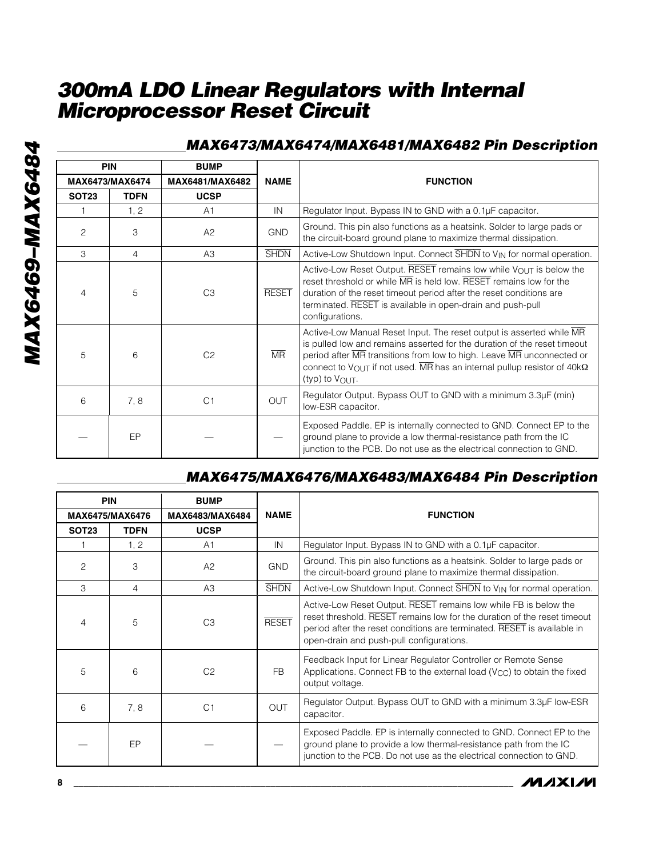| _MAX6473/MAX6474/MAX6481/MAX6482 Pin Description |  |  |
|--------------------------------------------------|--|--|
|--------------------------------------------------|--|--|

| <b>PIN</b>      |             | <b>BUMP</b>     |              |                                                                                                                                                                                                                                                                                                                                             |
|-----------------|-------------|-----------------|--------------|---------------------------------------------------------------------------------------------------------------------------------------------------------------------------------------------------------------------------------------------------------------------------------------------------------------------------------------------|
| MAX6473/MAX6474 |             | MAX6481/MAX6482 | <b>NAME</b>  | <b>FUNCTION</b>                                                                                                                                                                                                                                                                                                                             |
| <b>SOT23</b>    | <b>TDFN</b> | <b>UCSP</b>     |              |                                                                                                                                                                                                                                                                                                                                             |
|                 | 1, 2        | A <sub>1</sub>  | IN           | Regulator Input. Bypass IN to GND with a 0.1µF capacitor.                                                                                                                                                                                                                                                                                   |
| $\overline{2}$  | 3           | A2              | <b>GND</b>   | Ground. This pin also functions as a heatsink. Solder to large pads or<br>the circuit-board ground plane to maximize thermal dissipation.                                                                                                                                                                                                   |
| 3               | 4           | A3              | <b>SHDN</b>  | Active-Low Shutdown Input. Connect SHDN to VIN for normal operation.                                                                                                                                                                                                                                                                        |
| 4               | 5           | C <sub>3</sub>  | <b>RESET</b> | Active-Low Reset Output. RESET remains low while VOUT is below the<br>reset threshold or while MR is held low. RESET remains low for the<br>duration of the reset timeout period after the reset conditions are<br>terminated. RESET is available in open-drain and push-pull<br>configurations.                                            |
| 5               | 6           | C <sub>2</sub>  | <b>MR</b>    | Active-Low Manual Reset Input. The reset output is asserted while MR<br>is pulled low and remains asserted for the duration of the reset timeout<br>period after MR transitions from low to high. Leave MR unconnected or<br>connect to VOUT if not used. $\overline{MR}$ has an internal pullup resistor of 40k $\Omega$<br>(typ) to VOUT. |
| 6               | 7,8         | C <sub>1</sub>  | <b>OUT</b>   | Regulator Output. Bypass OUT to GND with a minimum 3.3µF (min)<br>low-ESR capacitor.                                                                                                                                                                                                                                                        |
|                 | EP          |                 |              | Exposed Paddle. EP is internally connected to GND. Connect EP to the<br>ground plane to provide a low thermal-resistance path from the IC<br>junction to the PCB. Do not use as the electrical connection to GND.                                                                                                                           |

## *MAX6475/MAX6476/MAX6483/MAX6484 Pin Description*

|                 | <b>PIN</b><br><b>BUMP</b> |                 |              |                                                                                                                                                                                                                                                                     |  |  |
|-----------------|---------------------------|-----------------|--------------|---------------------------------------------------------------------------------------------------------------------------------------------------------------------------------------------------------------------------------------------------------------------|--|--|
| MAX6475/MAX6476 |                           | MAX6483/MAX6484 | <b>NAME</b>  | <b>FUNCTION</b>                                                                                                                                                                                                                                                     |  |  |
| <b>SOT23</b>    | <b>TDFN</b>               | <b>UCSP</b>     |              |                                                                                                                                                                                                                                                                     |  |  |
|                 | 1, 2                      | A1              | IN           | Regulator Input. Bypass IN to GND with a 0.1µF capacitor.                                                                                                                                                                                                           |  |  |
| 2               | 3                         | A2              | <b>GND</b>   | Ground. This pin also functions as a heatsink. Solder to large pads or<br>the circuit-board ground plane to maximize thermal dissipation.                                                                                                                           |  |  |
| 3               | 4                         | A <sub>3</sub>  | <b>SHDN</b>  | Active-Low Shutdown Input. Connect SHDN to V <sub>IN</sub> for normal operation.                                                                                                                                                                                    |  |  |
| 4               | 5                         | C <sub>3</sub>  | <b>RESET</b> | Active-Low Reset Output. RESET remains low while FB is below the<br>reset threshold. RESET remains low for the duration of the reset timeout<br>period after the reset conditions are terminated. RESET is available in<br>open-drain and push-pull configurations. |  |  |
| 5               | 6                         | C <sub>2</sub>  | FB           | Feedback Input for Linear Regulator Controller or Remote Sense<br>Applications. Connect FB to the external load $(V_{CC})$ to obtain the fixed<br>output voltage.                                                                                                   |  |  |
| 6               | 7,8                       | C <sub>1</sub>  | <b>OUT</b>   | Regulator Output. Bypass OUT to GND with a minimum 3.3µF low-ESR<br>capacitor.                                                                                                                                                                                      |  |  |
|                 | EP                        |                 |              | Exposed Paddle. EP is internally connected to GND. Connect EP to the<br>ground plane to provide a low thermal-resistance path from the IC<br>junction to the PCB. Do not use as the electrical connection to GND.                                                   |  |  |



**MAXIM**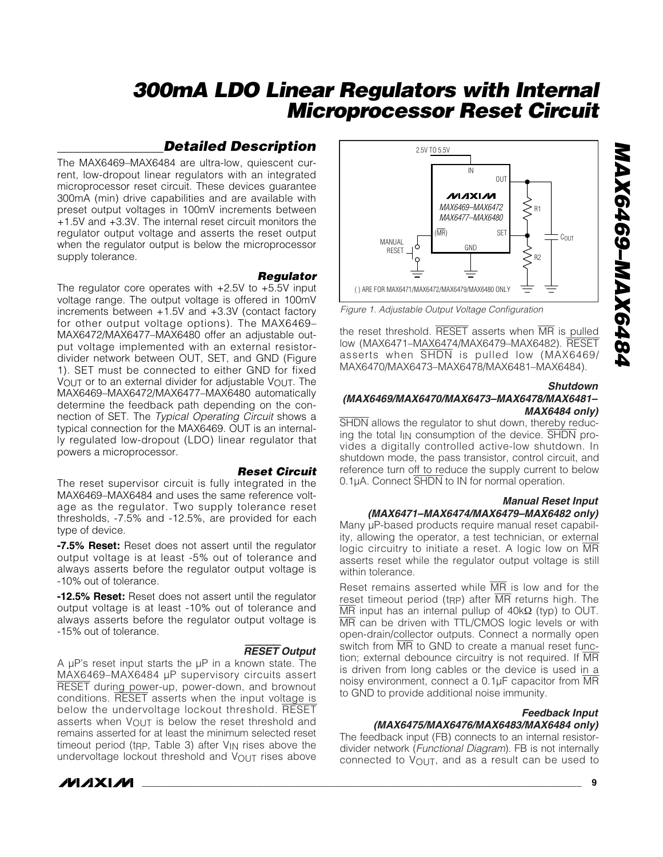### *Detailed Description*

The MAX6469–MAX6484 are ultra-low, quiescent current, low-dropout linear regulators with an integrated microprocessor reset circuit. These devices guarantee 300mA (min) drive capabilities and are available with preset output voltages in 100mV increments between +1.5V and +3.3V. The internal reset circuit monitors the regulator output voltage and asserts the reset output when the regulator output is below the microprocessor supply tolerance.

#### *Regulator*

The regulator core operates with  $+2.5V$  to  $+5.5V$  input voltage range. The output voltage is offered in 100mV increments between +1.5V and +3.3V (contact factory for other output voltage options). The MAX6469– MAX6472/MAX6477–MAX6480 offer an adjustable output voltage implemented with an external resistordivider network between OUT, SET, and GND (Figure 1). SET must be connected to either GND for fixed VOUT or to an external divider for adjustable  $V_{\text{OUT}}$ . The MAX6469–MAX6472/MAX6477–MAX6480 automatically determine the feedback path depending on the connection of SET. The *Typical Operating Circuit* shows a typical connection for the MAX6469. OUT is an internally regulated low-dropout (LDO) linear regulator that powers a microprocessor.

*Reset Circuit* The reset supervisor circuit is fully integrated in the MAX6469–MAX6484 and uses the same reference voltage as the regulator. Two supply tolerance reset thresholds, -7.5% and -12.5%, are provided for each type of device.

**-7.5% Reset:** Reset does not assert until the regulator output voltage is at least -5% out of tolerance and always asserts before the regulator output voltage is -10% out of tolerance.

**-12.5% Reset:** Reset does not assert until the regulator output voltage is at least -10% out of tolerance and always asserts before the regulator output voltage is -15% out of tolerance.

A  $\mu$ P's reset input starts the  $\mu$ P in a known state. The MAX6469–MAX6484 µP supervisory circuits assert RESET during power-up, power-down, and brownout conditions. RESET asserts when the input voltage is below the undervoltage lockout threshold. RESET asserts when VOUT is below the reset threshold and remains asserted for at least the minimum selected reset timeout period (t<sub>RP</sub>, Table 3) after  $V_{IN}$  rises above the undervoltage lockout threshold and  $V_{\text{OUT}}$  rises above



#### RESET *Output*



*Figure 1. Adjustable Output Voltage Configuration*

the reset threshold. RESET asserts when MR is pulled low (MAX6471–MAX6474/MAX6479–MAX6482). RESET asserts when SHDN is pulled low (MAX6469/ MAX6470/MAX6473–MAX6478/MAX6481–MAX6484).

#### *Shutdown*

#### *(MAX6469/MAX6470/MAX6473–MAX6478/MAX6481– MAX6484 only)*

SHDN allows the regulator to shut down, thereby reducing the total  $I_{IN}$  consumption of the device.  $\overline{SHDN}$  provides a digitally controlled active-low shutdown. In shutdown mode, the pass transistor, control circuit, and reference turn off to reduce the supply current to below 0.1µA. Connect SHDN to IN for normal operation.

#### *Manual Reset Input (MAX6471–MAX6474/MAX6479–MAX6482 only)*

Many uP-based products require manual reset capability, allowing the operator, a test technician, or external logic circuitry to initiate a reset. A logic low on MR asserts reset while the regulator output voltage is still within tolerance.

Reset remains asserted while  $\overline{MR}$  is low and for the reset timeout period (t<sub>RP</sub>) after  $\overline{MR}$  returns high. The MR input has an internal pullup of 40kΩ (typ) to OUT. MR can be driven with TTL/CMOS logic levels or with open-drain/collector outputs. Connect a normally open switch from MR to GND to create a manual reset function; external debounce circuitry is not required. If MR is driven from long cables or the device is used in a noisy environment, connect a 0.1µF capacitor from MR to GND to provide additional noise immunity.

#### *Feedback Input*

*(MAX6475/MAX6476/MAX6483/MAX6484 only)* The feedback input (FB) connects to an internal resistordivider network (*Functional Diagram*). FB is not internally connected to  $V_{\text{OUT}}$ , and as a result can be used to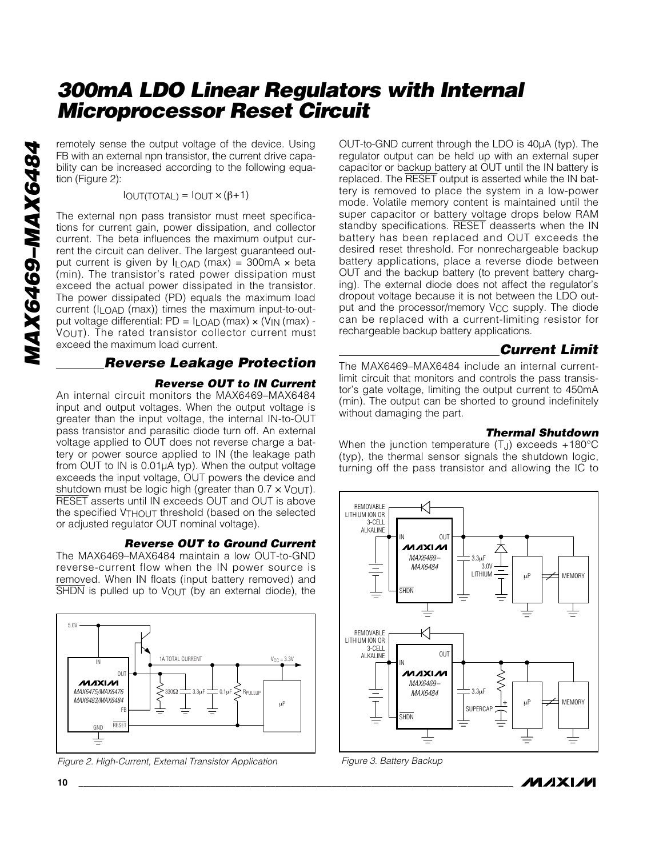remotely sense the output voltage of the device. Using FB with an external npn transistor, the current drive capability can be increased according to the following equation (Figure 2):

 $I$ OUT(TOTAL) =  $I$ OUT  $\times$  ( $\beta$ +1)

The external npn pass transistor must meet specifications for current gain, power dissipation, and collector current. The beta influences the maximum output current the circuit can deliver. The largest guaranteed output current is given by  $I_{LOAD}$  (max) = 300mA  $\times$  beta (min). The transistor's rated power dissipation must exceed the actual power dissipated in the transistor. The power dissipated (PD) equals the maximum load current (ILOAD (max)) times the maximum input-to-output voltage differential: PD = ILOAD (max) × (VIN (max) - VOUT). The rated transistor collector current must exceed the maximum load current.

#### *Reverse Leakage Protection*

#### *Reverse OUT to IN Current*

An internal circuit monitors the MAX6469–MAX6484 input and output voltages. When the output voltage is greater than the input voltage, the internal IN-to-OUT pass transistor and parasitic diode turn off. An external voltage applied to OUT does not reverse charge a battery or power source applied to IN (the leakage path from OUT to IN is 0.01µA typ). When the output voltage exceeds the input voltage, OUT powers the device and shutdown must be logic high (greater than  $0.7 \times V_{\text{OUT}}$ ). RESET asserts until IN exceeds OUT and OUT is above the specified VTHOUT threshold (based on the selected or adjusted regulator OUT nominal voltage).

#### *Reverse OUT to Ground Current*

The MAX6469–MAX6484 maintain a low OUT-to-GND reverse-current flow when the IN power source is removed. When IN floats (input battery removed) and SHDN is pulled up to  $V_{\text{OUT}}$  (by an external diode), the





OUT-to-GND current through the LDO is 40µA (typ). The regulator output can be held up with an external super capacitor or backup battery at OUT until the IN battery is replaced. The RESET output is asserted while the IN battery is removed to place the system in a low-power mode. Volatile memory content is maintained until the super capacitor or battery voltage drops below RAM standby specifications. RESET deasserts when the IN battery has been replaced and OUT exceeds the desired reset threshold. For nonrechargeable backup battery applications, place a reverse diode between OUT and the backup battery (to prevent battery charging). The external diode does not affect the regulator's dropout voltage because it is not between the LDO output and the processor/memory V<sub>CC</sub> supply. The diode can be replaced with a current-limiting resistor for rechargeable backup battery applications.

### *Current Limit*

The MAX6469–MAX6484 include an internal currentlimit circuit that monitors and controls the pass transistor's gate voltage, limiting the output current to 450mA (min). The output can be shorted to ground indefinitely without damaging the part.

#### *Thermal Shutdown*

When the junction temperature  $(T_J)$  exceeds +180 $^{\circ}$ C (typ), the thermal sensor signals the shutdown logic, turning off the pass transistor and allowing the IC to



*Figure 3. Battery Backup*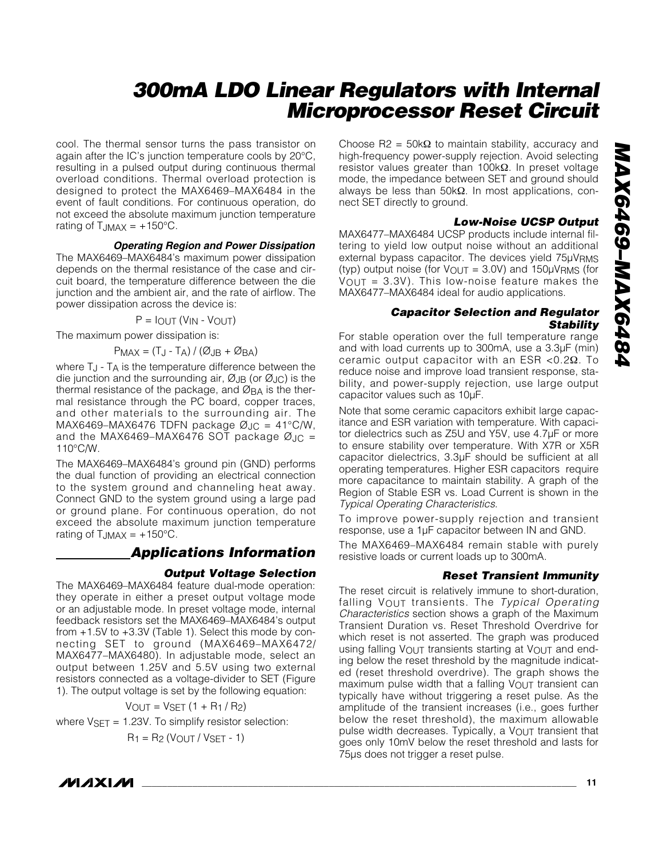cool. The thermal sensor turns the pass transistor on again after the IC's junction temperature cools by 20°C, resulting in a pulsed output during continuous thermal overload conditions. Thermal overload protection is designed to protect the MAX6469–MAX6484 in the event of fault conditions. For continuous operation, do not exceed the absolute maximum junction temperature rating of  $T_{JMAX} = +150^{\circ}C$ .

#### *Operating Region and Power Dissipation*

The MAX6469–MAX6484's maximum power dissipation depends on the thermal resistance of the case and circuit board, the temperature difference between the die junction and the ambient air, and the rate of airflow. The power dissipation across the device is:

 $P = I$ OUT ( $V$ IN -  $V$ OUT)

The maximum power dissipation is:

$$
P_{MAX} = (T_J - T_A) / (\emptyset_{JB} + \emptyset_{BA})
$$

where  $T_J$  -  $T_A$  is the temperature difference between the die junction and the surrounding air,  $\emptyset$ JB (or  $\emptyset$ JC) is the thermal resistance of the package, and ØBA is the thermal resistance through the PC board, copper traces, and other materials to the surrounding air. The MAX6469–MAX6476 TDFN package  $\varnothing$ <sub>JC</sub> = 41°C/W, and the MAX6469–MAX6476 SOT package  $\varnothing$ JC = 110°C/W.

The MAX6469–MAX6484's ground pin (GND) performs the dual function of providing an electrical connection to the system ground and channeling heat away. Connect GND to the system ground using a large pad or ground plane. For continuous operation, do not exceed the absolute maximum junction temperature rating of  $T_{JMAX} = +150^{\circ}C$ .

#### *Applications Information*

#### *Output Voltage Selection*

The MAX6469–MAX6484 feature dual-mode operation: they operate in either a preset output voltage mode or an adjustable mode. In preset voltage mode, internal feedback resistors set the MAX6469–MAX6484's output from +1.5V to +3.3V (Table 1). Select this mode by connecting SET to ground (MAX6469–MAX6472/ MAX6477–MAX6480). In adjustable mode, select an output between 1.25V and 5.5V using two external resistors connected as a voltage-divider to SET (Figure 1). The output voltage is set by the following equation:

 $V_{OUT} = V_{SET} (1 + R_1 / R_2)$ 

where  $V<sub>SET</sub> = 1.23V$ . To simplify resistor selection:

$$
R_1 = R_2 (V_{OUT} / V_{SET} - 1)
$$

Choose R2 =  $50kΩ$  to maintain stability, accuracy and high-frequency power-supply rejection. Avoid selecting resistor values greater than 100kΩ. In preset voltage mode, the impedance between SET and ground should always be less than 50kΩ. In most applications, connect SET directly to ground.

#### *Low-Noise UCSP Output*

MAX6477–MAX6484 UCSP products include internal filtering to yield low output noise without an additional external bypass capacitor. The devices yield 75µVRMS (typ) output noise (for  $V_{\text{OUT}} = 3.0V$ ) and  $150 \mu V_{\text{RMS}}$  (for  $V_{\text{OUT}} = 3.3V$ ). This low-noise feature makes the MAX6477–MAX6484 ideal for audio applications.

#### *Capacitor Selection and Regulator Stability*

For stable operation over the full temperature range and with load currents up to 300mA, use a 3.3µF (min) ceramic output capacitor with an ESR <0.2Ω. To reduce noise and improve load transient response, stability, and power-supply rejection, use large output capacitor values such as 10µF.

Note that some ceramic capacitors exhibit large capacitance and ESR variation with temperature. With capacitor dielectrics such as Z5U and Y5V, use 4.7µF or more to ensure stability over temperature. With X7R or X5R capacitor dielectrics, 3.3µF should be sufficient at all operating temperatures. Higher ESR capacitors require more capacitance to maintain stability. A graph of the Region of Stable ESR vs. Load Current is shown in the *Typical Operating Characteristics*.

To improve power-supply rejection and transient response, use a 1µF capacitor between IN and GND.

The MAX6469–MAX6484 remain stable with purely resistive loads or current loads up to 300mA.

#### *Reset Transient Immunity*

The reset circuit is relatively immune to short-duration, falling VOUT transients. The *Typical Operating Characteristics* section shows a graph of the Maximum Transient Duration vs. Reset Threshold Overdrive for which reset is not asserted. The graph was produced using falling  $V_{\text{OUT}}$  transients starting at  $V_{\text{OUT}}$  and ending below the reset threshold by the magnitude indicated (reset threshold overdrive). The graph shows the maximum pulse width that a falling VOUT transient can typically have without triggering a reset pulse. As the amplitude of the transient increases (i.e., goes further below the reset threshold), the maximum allowable pulse width decreases. Typically, a VOUT transient that goes only 10mV below the reset threshold and lasts for 75µs does not trigger a reset pulse.

**MAXM**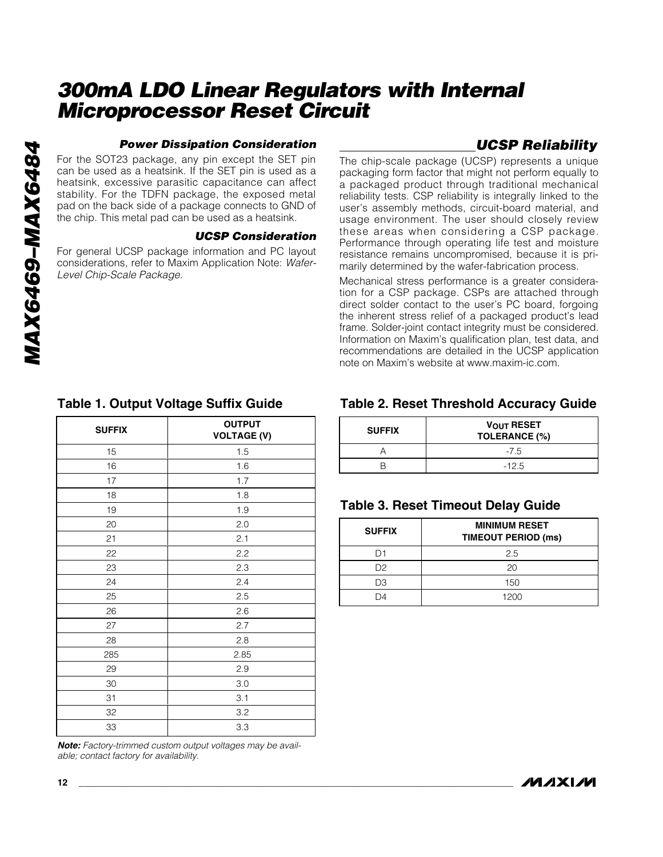#### *Power Dissipation Consideration*

For the SOT23 package, any pin except the SET pin can be used as a heatsink. If the SET pin is used as a heatsink, excessive parasitic capacitance can affect stability. For the TDFN package, the exposed metal pad on the back side of a package connects to GND of the chip. This metal pad can be used as a heatsink.

#### *UCSP Consideration*

For general UCSP package information and PC layout considerations, refer to Maxim Application Note: *Wafer-Level Chip-Scale Package*.

### *UCSP Reliability*

The chip-scale package (UCSP) represents a unique packaging form factor that might not perform equally to a packaged product through traditional mechanical reliability tests. CSP reliability is integrally linked to the user's assembly methods, circuit-board material, and usage environment. The user should closely review these areas when considering a CSP package. Performance through operating life test and moisture resistance remains uncompromised, because it is primarily determined by the wafer-fabrication process.

Mechanical stress performance is a greater consideration for a CSP package. CSPs are attached through direct solder contact to the user's PC board, forgoing the inherent stress relief of a packaged product's lead frame. Solder-joint contact integrity must be considered. Information on Maxim's qualification plan, test data, and recommendations are detailed in the UCSP application note on Maxim's website at www.maxim-ic.com.

| <b>SUFFIX</b> | <b>OUTPUT</b><br><b>VOLTAGE (V)</b> |  |  |  |
|---------------|-------------------------------------|--|--|--|
| 15            | 1.5                                 |  |  |  |
| 16            | 1.6                                 |  |  |  |
| 17            | 1.7                                 |  |  |  |
| 18            | 1.8                                 |  |  |  |
| 19            | 1.9                                 |  |  |  |
| 20            | 2.0                                 |  |  |  |
| 21            | 2.1                                 |  |  |  |
| 22            | 2.2                                 |  |  |  |
| 23            | 2.3                                 |  |  |  |
| 24            | 2.4                                 |  |  |  |
| 25            | 2.5                                 |  |  |  |
| 26            | 2.6                                 |  |  |  |
| 27            | 2.7                                 |  |  |  |
| 28            | 2.8                                 |  |  |  |
| 285           | 2.85                                |  |  |  |
| 29            | 2.9                                 |  |  |  |
| 30            | 3.0                                 |  |  |  |
| 31            | 3.1                                 |  |  |  |
| 32            | 3.2                                 |  |  |  |
| 33            | 3.3                                 |  |  |  |
|               |                                     |  |  |  |

#### **Table 1. Output Voltage Suffix Guide**

*Note: Factory-trimmed custom output voltages may be available; contact factory for availability.*

### **Table 2. Reset Threshold Accuracy Guide**

| <b>SUFFIX</b> | <b>VOUT RESET</b><br><b>TOLERANCE (%)</b> |
|---------------|-------------------------------------------|
|               | $-7.5$                                    |
|               | $-12.5$                                   |

### **Table 3. Reset Timeout Delay Guide**

| <b>SUFFIX</b> | <b>MINIMUM RESET</b><br><b>TIMEOUT PERIOD (ms)</b> |
|---------------|----------------------------------------------------|
|               | 2.5                                                |
| D2            | 20                                                 |
| DЗ            | 150                                                |
| ١Δ            | 1200                                               |

*MAX6469–MAX6484*

**MAX6469-MAX6484**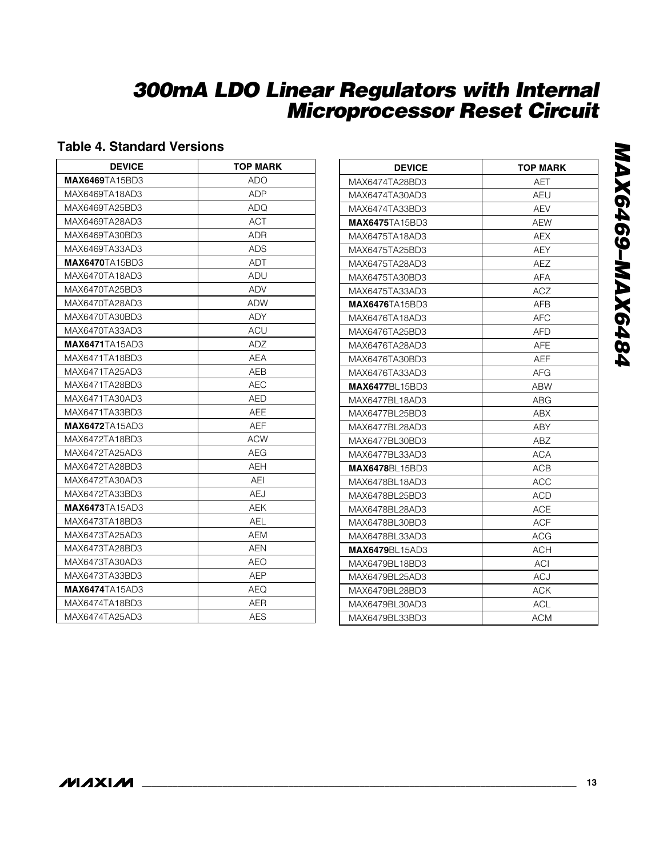### **Table 4. Standard Versions**

| <b>DEVICE</b>          | <b>TOP MARK</b> |
|------------------------|-----------------|
| <b>MAX6469TA15BD3</b>  | ADO             |
| MAX6469TA18AD3         | ADP             |
| MAX6469TA25BD3         | ADQ             |
| MAX6469TA28AD3         | ACT             |
| MAX6469TA30BD3         | ADR             |
| MAX6469TA33AD3         | ADS             |
| <b>MAX6470TA15BD3</b>  | ADT             |
| MAX6470TA18AD3         | ADU             |
| MAX6470TA25BD3         | ADV             |
| MAX6470TA28AD3         | ADW             |
| MAX6470TA30BD3         | ADY             |
| MAX6470TA33AD3         | ACU             |
| <b>MAX6471</b> TA15AD3 | ADZ             |
| MAX6471TA18BD3         | AEA             |
| MAX6471TA25AD3         | AEB             |
| MAX6471TA28BD3         | AEC             |
| MAX6471TA30AD3         | AED             |
| MAX6471TA33BD3         | AEE             |
| <b>MAX6472</b> TA15AD3 | AEF             |
| MAX6472TA18BD3         | <b>ACW</b>      |
| MAX6472TA25AD3         | AEG             |
| MAX6472TA28BD3         | AEH             |
| MAX6472TA30AD3         | AEI             |
| MAX6472TA33BD3         | AEJ             |
| <b>MAX6473TA15AD3</b>  | AEK             |
| MAX6473TA18BD3         | AEL             |
| MAX6473TA25AD3         | AEM             |
| MAX6473TA28BD3         | AEN             |
| MAX6473TA30AD3         | AEO             |
| MAX6473TA33BD3         | AEP             |
| <b>MAX6474</b> TA15AD3 | AEQ             |
| MAX6474TA18BD3         | AER             |
| MAX6474TA25AD3         | AES             |

| <b>DEVICE</b>          | <b>TOP MARK</b> |
|------------------------|-----------------|
| MAX6474TA28BD3         | AET             |
| MAX6474TA30AD3         | AEU             |
| MAX6474TA33BD3         | AEV             |
| <b>MAX6475</b> TA15BD3 | AEW             |
| MAX6475TA18AD3         | AEX             |
| MAX6475TA25BD3         | AEY             |
| MAX6475TA28AD3         | AEZ             |
| MAX6475TA30BD3         | AFA             |
| MAX6475TA33AD3         | ACZ             |
| <b>MAX6476</b> TA15BD3 | AFB             |
| MAX6476TA18AD3         | AFC             |
| MAX6476TA25BD3         | AFD             |
| MAX6476TA28AD3         | <b>AFE</b>      |
| MAX6476TA30BD3         | <b>AEF</b>      |
| MAX6476TA33AD3         | AFG             |
| <b>MAX6477BL15BD3</b>  | <b>ABW</b>      |
| MAX6477BL18AD3         | ABG             |
| MAX6477BL25BD3         | <b>ABX</b>      |
| MAX6477BL28AD3         | ABY             |
| MAX6477BL30BD3         | ABZ             |
| MAX6477BL33AD3         | <b>ACA</b>      |
| <b>MAX6478BL15BD3</b>  | ACB             |
| MAX6478BL18AD3         | ACC             |
| MAX6478BL25BD3         | ACD             |
| MAX6478BL28AD3         | <b>ACE</b>      |
| MAX6478BL30BD3         | ACF             |
| MAX6478BL33AD3         | <b>ACG</b>      |
| <b>MAX6479BL15AD3</b>  | ACH             |
| MAX6479BL18BD3         | ACI             |
| MAX6479BL25AD3         | <b>ACJ</b>      |
| MAX6479BL28BD3         | ACK             |
| MAX6479BL30AD3         | ACL             |
| MAX6479BL33BD3         | <b>ACM</b>      |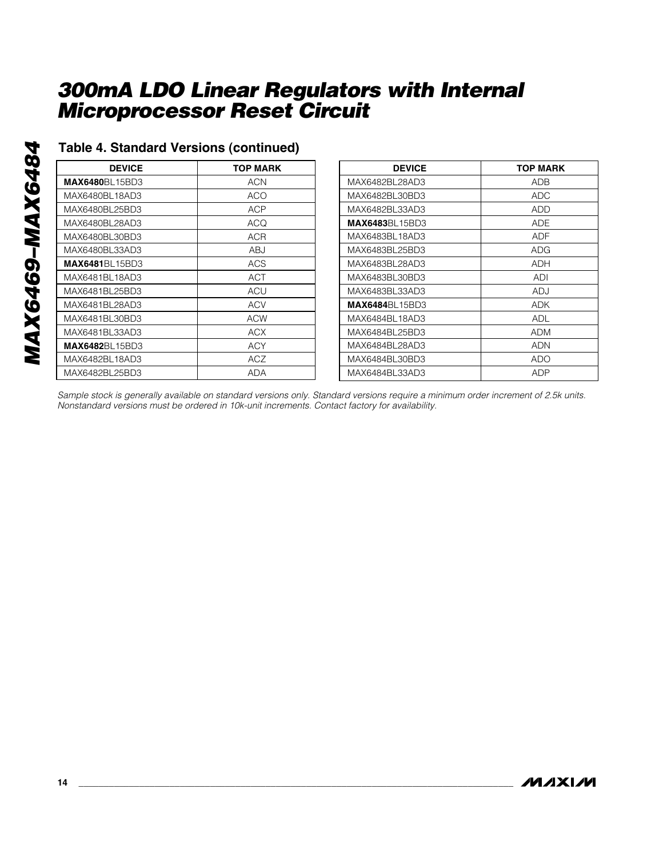| <b>DEVICE</b>         | <b>TOP MARK</b> |
|-----------------------|-----------------|
| <b>MAX6480BL15BD3</b> | ACN             |
| MAX6480BL18AD3        | ACO             |
| MAX6480BL25BD3        | ACP             |
| MAX6480BL28AD3        | ACQ             |
| MAX6480BL30BD3        | ACR             |
| MAX6480BL33AD3        | ABJ             |
| <b>MAX6481BL15BD3</b> | ACS             |
| MAX6481BL18AD3        | ACT             |
| MAX6481BL25BD3        | ACU             |
| MAX6481BL28AD3        | ACV             |
| MAX6481BL30BD3        | ACW             |
| MAX6481BL33AD3        | ACX             |
| <b>MAX6482BL15BD3</b> | ACY             |
| MAX6482BL18AD3        | <b>ACZ</b>      |
| MAX6482BL25BD3        | ADA             |

**Table 4. Standard Versions (continued)**

| <b>DEVICE</b>          | <b>TOP MARK</b> |
|------------------------|-----------------|
| MAX6482BL28AD3         | ADB             |
| MAX6482BL30BD3         | ADC             |
| MAX6482BL33AD3         | ADD             |
| <b>MAX6483</b> BL15BD3 | ADE             |
| MAX6483BL18AD3         | ADF             |
| MAX6483BL25BD3         | ADG             |
| MAX6483BL28AD3         | ADH             |
| MAX6483BL30BD3         | ADI             |
| MAX6483BL33AD3         | ADJ             |
| <b>MAX6484</b> BL15BD3 | ADK             |
| MAX6484BL18AD3         | ADL             |
| MAX6484BL25BD3         | ADM             |
| MAX6484BL28AD3         | ADN             |
| MAX6484BL30BD3         | ado             |
| MAX6484BL33AD3         | ADP             |

*Sample stock is generally available on standard versions only. Standard versions require a minimum order increment of 2.5k units. Nonstandard versions must be ordered in 10k-unit increments. Contact factory for availability.*

**MAXM**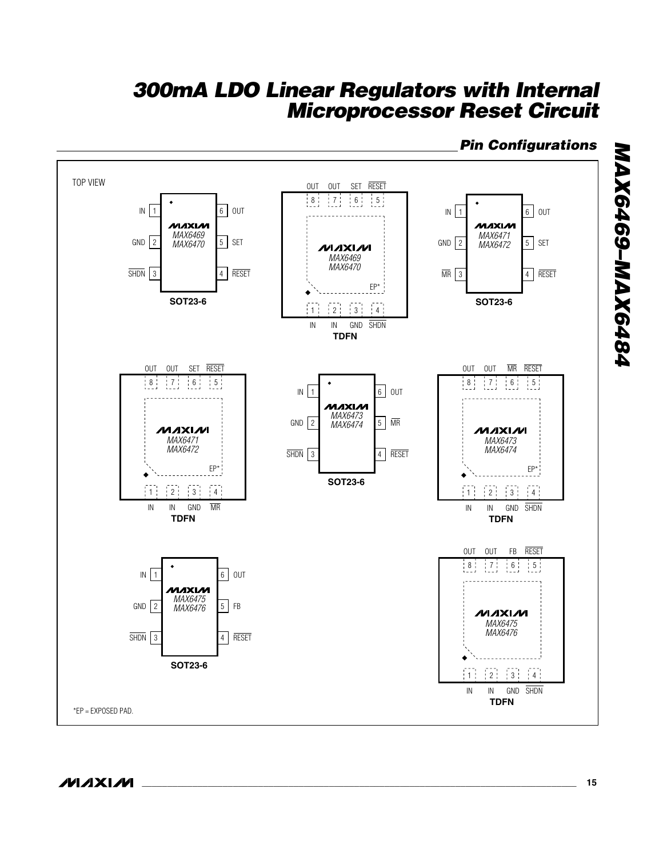

*Pin Configurations*

*MAX6469–MAX6484*

MAX6469-MAX6484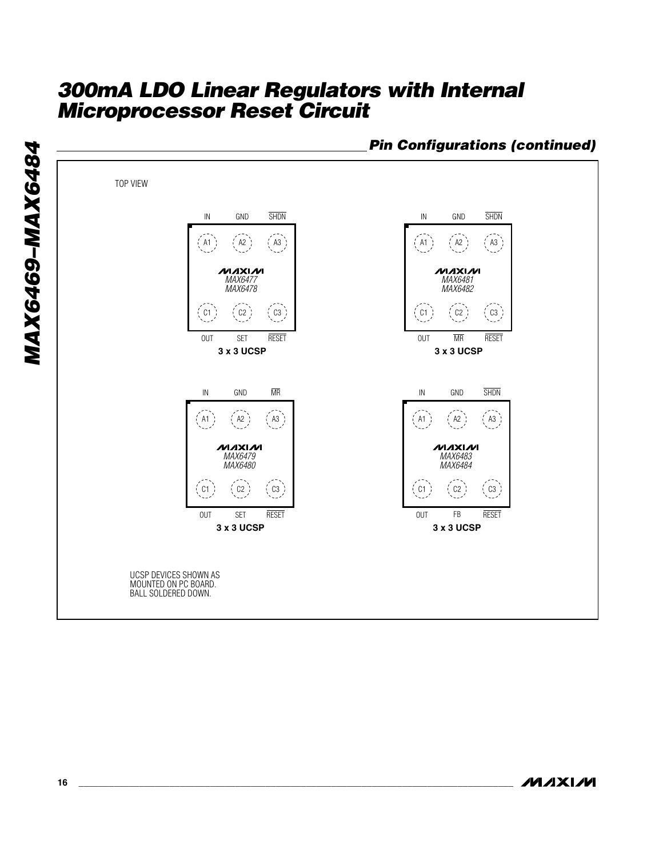

*Pin Configurations (continued)*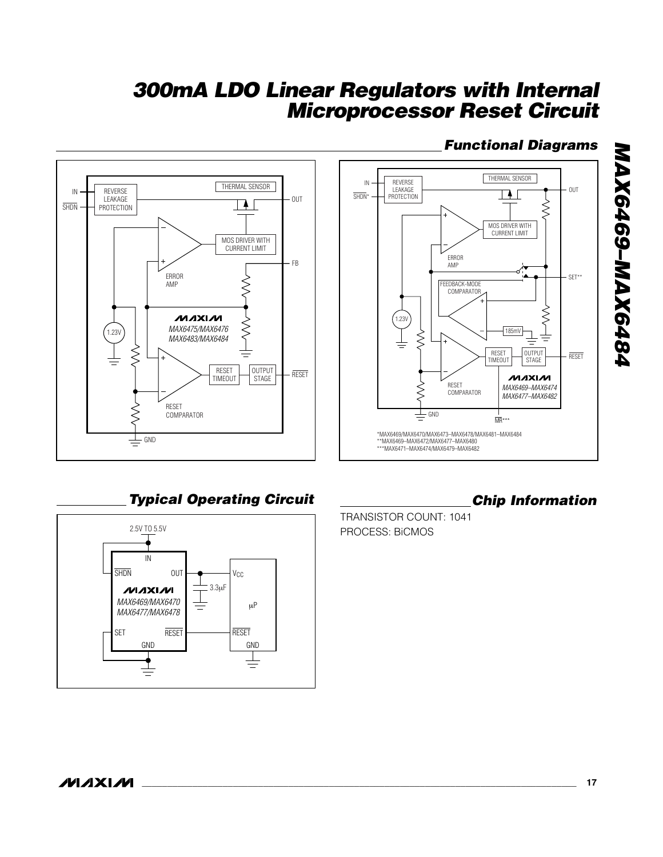

### *Functional Diagrams*

*MAX6469–MAX6484*

MAX6469-MAX6484

### *Typical Operating Circuit Chip Information*



TRANSISTOR COUNT: 1041 PROCESS: BiCMOS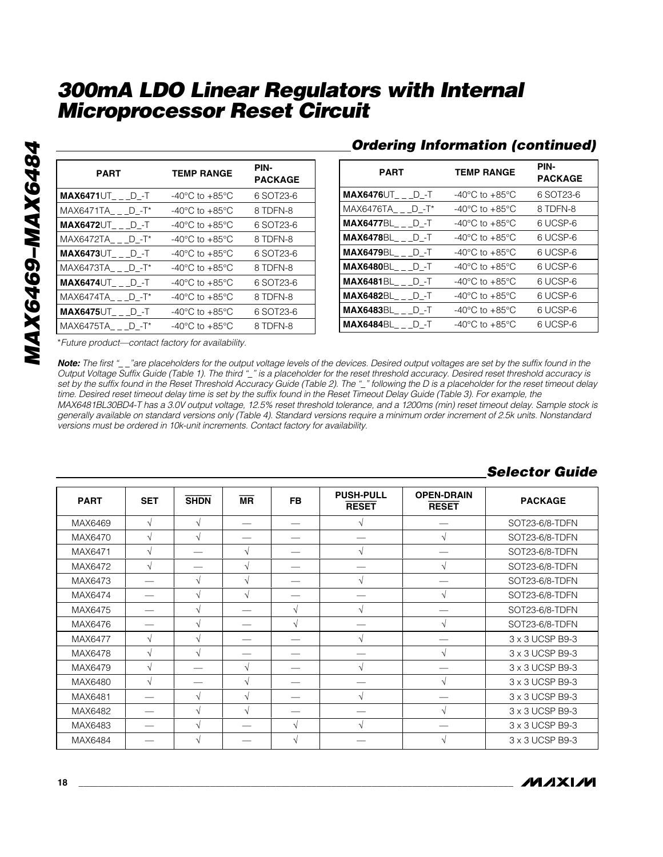| <b>PART</b>                | <b>TEMP RANGE</b>                    | PIN-<br><b>PACKAGE</b> |
|----------------------------|--------------------------------------|------------------------|
| $MAX6471 \cup T$ dependent | $-40^{\circ}$ C to $+85^{\circ}$ C   | 6 SOT23-6              |
| $MAX6471TA$ $D - T^*$      | $-40^{\circ}$ C to $+85^{\circ}$ C   | 8 TDFN-8               |
| $MAX6472 \cup T$ dependent | $-40^{\circ}$ C to $+85^{\circ}$ C   | 6 SOT23-6              |
| $MAX6472TA$ $D - T^*$      | $-40^{\circ}$ C to $+85^{\circ}$ C   | 8 TDFN-8               |
| $MAX6473\cup T$ department | $-40^{\circ}$ C to $+85^{\circ}$ C   | 6 SOT23-6              |
| $MAX6473TA$ $D - T^*$      | $-40^{\circ}$ C to $+85^{\circ}$ C   | 8 TDFN-8               |
| $MAX6474\cup T$ $D$ -t     | $-40^{\circ}$ C to $+85^{\circ}$ C   | 6 SOT23-6              |
| $MAX6474TA$ $D - T^*$      | $-40^{\circ}$ C to $+85^{\circ}$ C   | 8 TDFN-8               |
| $MAX6475\cup T$ dependent  | -40 $^{\circ}$ C to +85 $^{\circ}$ C | 6 SOT23-6              |
| $MAX6475TA$ $D - T^*$      | -40°C to +85°C                       | 8 TDFN-8               |

### *Ordering Information (continued)*

| <b>PART</b>               | <b>TEMP RANGE</b>                    | PIN-<br><b>PACKAGE</b> |
|---------------------------|--------------------------------------|------------------------|
| $MAX6476\cup T$ dependent | $-40^{\circ}$ C to $+85^{\circ}$ C   | 6 SOT23-6              |
| $MAX6476TA$ $D - T^*$     | $-40^{\circ}$ C to $+85^{\circ}$ C   | 8 TDFN-8               |
| $MAX6477BL$ __D_-T        | $-40^{\circ}$ C to $+85^{\circ}$ C   | 6 UCSP-6               |
| <b>MAX6478BL D-T</b>      | $-40^{\circ}$ C to $+85^{\circ}$ C   | 6 UCSP-6               |
| <b>MAX6479BL D-T</b>      | -40 $^{\circ}$ C to +85 $^{\circ}$ C | 6 UCSP-6               |
| $MAX6480BL$ __D_-T        | $-40^{\circ}$ C to $+85^{\circ}$ C   | 6 UCSP-6               |
| <b>MAX6481BL D</b> -T     | -40 $^{\circ}$ C to +85 $^{\circ}$ C | 6 UCSP-6               |
| <b>MAX6482BL D-T</b>      | $-40^{\circ}$ C to $+85^{\circ}$ C   | 6 UCSP-6               |
| <b>MAX6483BL D-T</b>      | $-40^{\circ}$ C to $+85^{\circ}$ C   | 6 UCSP-6               |
| $MAX6484BL$ $D - T$       | $-40^{\circ}$ C to $+85^{\circ}$ C   | 6 UCSP-6               |

\**Future product—contact factory for availability.*

*Note: The first "\_ \_"are placeholders for the output voltage levels of the devices. Desired output voltages are set by the suffix found in the Output Voltage Suffix Guide (Table 1). The third "\_" is a placeholder for the reset threshold accuracy. Desired reset threshold accuracy is set by the suffix found in the Reset Threshold Accuracy Guide (Table 2). The "\_" following the D is a placeholder for the reset timeout delay time. Desired reset timeout delay time is set by the suffix found in the Reset Timeout Delay Guide (Table 3). For example, the MAX6481BL30BD4-T has a 3.0V output voltage, 12.5% reset threshold tolerance, and a 1200ms (min) reset timeout delay. Sample stock is generally available on standard versions only (Table 4). Standard versions require a minimum order increment of 2.5k units. Nonstandard versions must be ordered in 10k-unit increments. Contact factory for availability.*

| <b>PART</b> | <b>SET</b> | <b>SHDN</b>   | $\overline{\mathsf{MR}}$ | <b>FB</b>  | <b>PUSH-PULL</b><br><b>RESET</b> | <b>OPEN-DRAIN</b><br><b>RESET</b> | <b>PACKAGE</b>  |
|-------------|------------|---------------|--------------------------|------------|----------------------------------|-----------------------------------|-----------------|
| MAX6469     | $\sqrt{ }$ | $\sqrt{ }$    |                          |            |                                  |                                   | SOT23-6/8-TDFN  |
| MAX6470     | $\sqrt{ }$ | $\sqrt{ }$    |                          |            |                                  | $\mathcal{N}$                     | SOT23-6/8-TDFN  |
| MAX6471     | $\sqrt{ }$ |               | $\sqrt{ }$               |            | V                                |                                   | SOT23-6/8-TDFN  |
| MAX6472     | $\sqrt{ }$ |               | $\sqrt{ }$               |            |                                  | N                                 | SOT23-6/8-TDFN  |
| MAX6473     |            | N             | $\sqrt{ }$               |            |                                  |                                   | SOT23-6/8-TDFN  |
| MAX6474     |            | $\mathcal{N}$ | $\sqrt{ }$               |            |                                  | N                                 | SOT23-6/8-TDFN  |
| MAX6475     |            | $\sqrt{ }$    |                          | $\sqrt{ }$ | V                                |                                   | SOT23-6/8-TDFN  |
| MAX6476     |            | $\sqrt{ }$    |                          | N          |                                  | N                                 | SOT23-6/8-TDFN  |
| MAX6477     | $\sqrt{ }$ | $\mathcal{N}$ |                          |            |                                  |                                   | 3 x 3 UCSP B9-3 |
| MAX6478     | $\sqrt{ }$ | $\sqrt{ }$    |                          |            |                                  | V                                 | 3 x 3 UCSP B9-3 |
| MAX6479     | $\sim$     |               | $\sqrt{ }$               |            |                                  |                                   | 3 x 3 UCSP B9-3 |
| MAX6480     | $\sqrt{ }$ |               | $\sqrt{ }$               |            |                                  | V                                 | 3 x 3 UCSP B9-3 |
| MAX6481     |            | $\sqrt{ }$    | $\sqrt{ }$               |            |                                  |                                   | 3 x 3 UCSP B9-3 |
| MAX6482     |            | $\sqrt{ }$    | $\sqrt{ }$               |            |                                  | $\mathcal{N}$                     | 3 x 3 UCSP B9-3 |
| MAX6483     |            | $\sqrt{ }$    |                          | $\sqrt{ }$ |                                  |                                   | 3 x 3 UCSP B9-3 |
| MAX6484     |            | N             |                          |            |                                  |                                   | 3 x 3 UCSP B9-3 |

#### *Selector Guide*

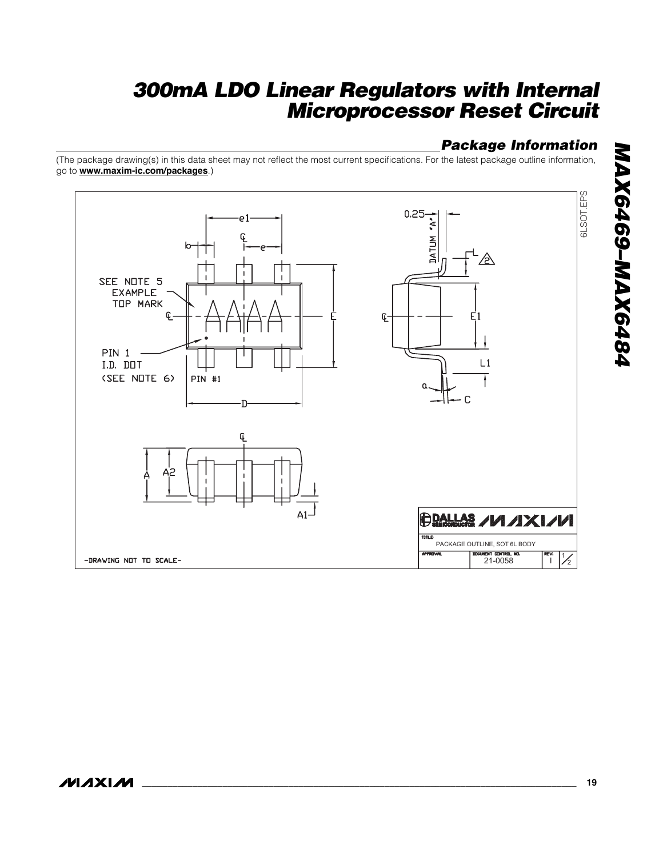### *Package Information*

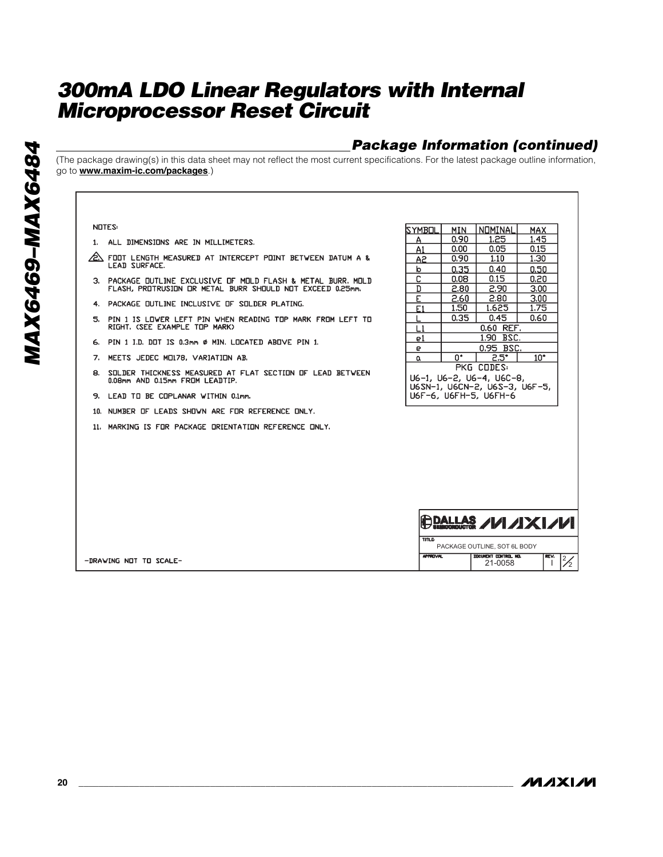### *Package Information (continued)*

(The package drawing(s) in this data sheet may not reflect the most current specifications. For the latest package outline information, go to **www.maxim-ic.com/packages**.)

| <b>NOTES:</b>                                                                         | ISYMB⊡L      | MIN  | NOMINAL                                                                            | MAX          |
|---------------------------------------------------------------------------------------|--------------|------|------------------------------------------------------------------------------------|--------------|
| 1. ALL DIMENSIONS ARE IN MILLIMETERS.                                                 | A            | 0,90 | 1,25                                                                               | 1.45         |
|                                                                                       | A1           | 0.00 | 0.05                                                                               | 0.15         |
| ∕2\ FOOT LENGTH MEASURED AT INTERCEPT POINT BETWEEN DATUM A &<br><b>LEAD SURFACE.</b> | A2           | 0.90 | 1.10                                                                               | 1.30         |
|                                                                                       | b            | 0.35 | 0.40                                                                               | 0,50         |
| 3. PACKAGE OUTLINE EXCLUSIVE OF MOLD FLASH & METAL BURR, MOLD                         | C            | 0.08 | 0.15                                                                               | 0.20         |
| FLASH, PROTRUSION OR METAL BURR SHOULD NOT EXCEED 0.25mm.                             | D            | 2.80 | 2,90                                                                               | 3,00         |
| 4. PACKAGE OUTLINE INCLUSIVE OF SOLDER PLATING.                                       | E            | 2.60 | 2.80                                                                               | 3.00         |
|                                                                                       | F1           | 1.50 | 1.625                                                                              | 1.75         |
| 5. PIN 1 IS LOWER LEFT PIN WHEN READING TOP MARK FROM LEFT TO                         |              | 0.35 | 0.45                                                                               | 0.60         |
| RIGHT, (SEE EXAMPLE TOP MARK)                                                         | L1           |      | 0.60 REF.                                                                          |              |
| 6. PIN 1 I.D. DOT IS 0.3mm Ø MIN. LOCATED ABOVE PIN 1.                                | e1           |      | 1.90 BSC.                                                                          |              |
|                                                                                       | е            |      | 0.95 BSC.                                                                          |              |
| 7. MEETS JEDEC MO178, VARIATION AB.                                                   | a            | n•   | $2.5^{\circ}$                                                                      | $10^{\circ}$ |
| 8. SOLDER THICKNESS MEASURED AT FLAT SECTION OF LEAD BETWEEN                          |              |      | PKG CODES:                                                                         |              |
| 0.08mm AND 0.15mm FROM LEADTIP.                                                       |              |      | U6-1, U6-2, U6-4, U6C-8,                                                           |              |
|                                                                                       |              |      | U6SN-1, U6CN-2, U6S-3, U6F-5,                                                      |              |
| 9. LEAD TO BE COPLANAR WITHIN 0.1mm.                                                  |              |      | U6F-6, U6FH-5, U6FH-6                                                              |              |
| 10. NUMBER OF LEADS SHOWN ARE FOR REFERENCE ONLY.                                     |              |      |                                                                                    |              |
| 11. MARKING IS FOR PACKAGE ORIENTATION REFERENCE ONLY.                                |              |      |                                                                                    |              |
|                                                                                       |              |      |                                                                                    |              |
|                                                                                       |              |      |                                                                                    |              |
|                                                                                       |              |      |                                                                                    |              |
|                                                                                       |              |      |                                                                                    |              |
|                                                                                       |              |      |                                                                                    |              |
|                                                                                       |              |      |                                                                                    |              |
|                                                                                       |              |      |                                                                                    |              |
|                                                                                       |              |      | $\bigoplus_{\text{Algebra of } A} \mathcal{A} \cup \mathcal{A} \times \mathcal{A}$ |              |
|                                                                                       | <b>TITLE</b> |      |                                                                                    |              |
|                                                                                       |              |      | PACKAGE OUTLINE, SOT 6L BODY                                                       |              |

**MAXM** 

21-0058 2

 $\sqrt{\frac{2}{1}}$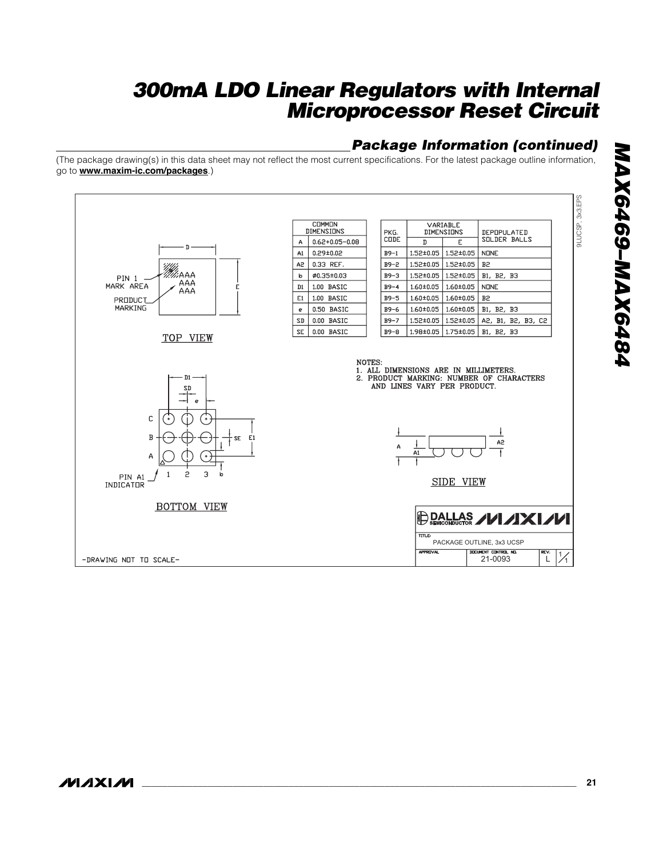### *Package Information (continued)*

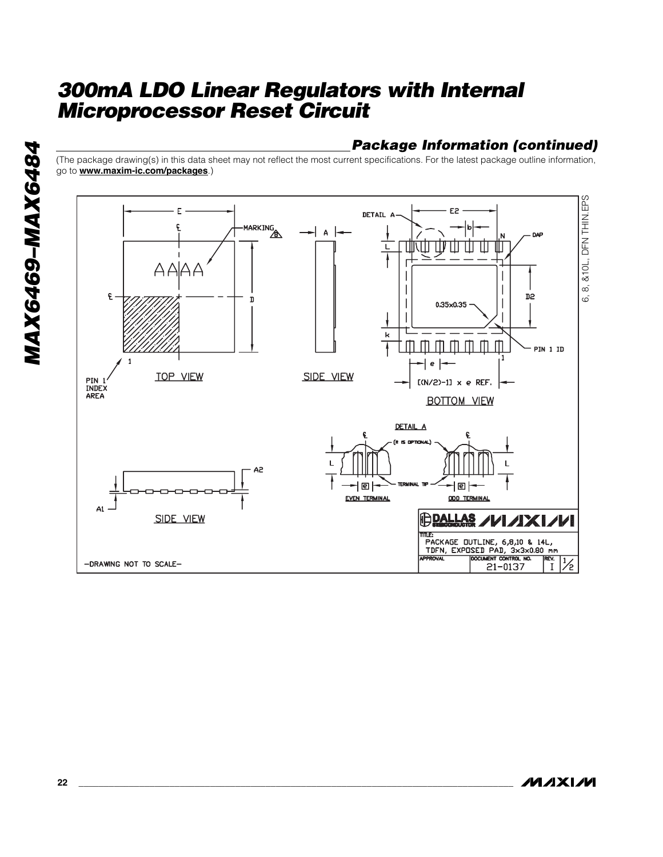### *Package Information (continued)*

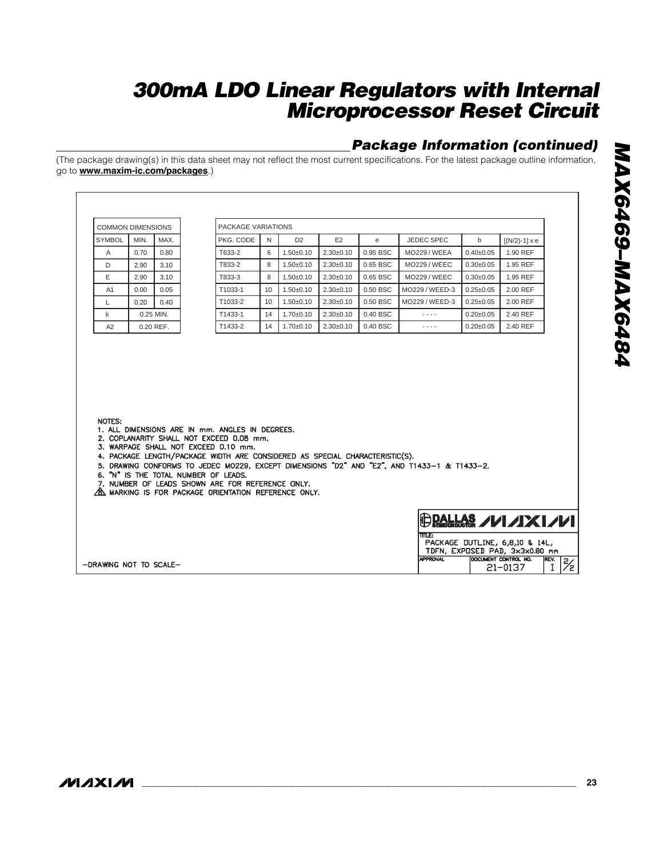### *Package Information (continued)*

| <b>COMMON DIMENSIONS</b> |      |           |  | PACKAGE VARIATIONS                                                                                                                                                                                                                                                                                                                                                              |    |                |                 |          |                                                                                             |                 |                                                                                           |
|--------------------------|------|-----------|--|---------------------------------------------------------------------------------------------------------------------------------------------------------------------------------------------------------------------------------------------------------------------------------------------------------------------------------------------------------------------------------|----|----------------|-----------------|----------|---------------------------------------------------------------------------------------------|-----------------|-------------------------------------------------------------------------------------------|
| <b>SYMBOL</b>            | MIN. | MAX.      |  | PKG. CODE                                                                                                                                                                                                                                                                                                                                                                       | N  | D <sub>2</sub> | E <sub>2</sub>  | e        | JEDEC SPEC                                                                                  | $\mathsf{b}$    | $[(N/2)-1] \times e$                                                                      |
| A                        | 0.70 | 0.80      |  | T633-2                                                                                                                                                                                                                                                                                                                                                                          | 6  | $1.50 + 0.10$  | $2.30 \pm 0.10$ | 0.95 BSC | <b>MO229 / WEEA</b>                                                                         | $0.40 + 0.05$   | 1.90 REF                                                                                  |
| D                        | 2.90 | 3.10      |  | T833-2                                                                                                                                                                                                                                                                                                                                                                          | 8  | $1.50 + 0.10$  | $2.30+0.10$     | 0.65 BSC | <b>MO229 / WEEC</b>                                                                         | $0.30 + 0.05$   | 1.95 REF                                                                                  |
| E                        | 2.90 | 3.10      |  | T833-3                                                                                                                                                                                                                                                                                                                                                                          | 8  | $1.50 + 0.10$  | $2.30+0.10$     | 0.65 BSC | <b>MO229/WEEC</b>                                                                           | $0.30+0.05$     | 1.95 REF                                                                                  |
| A1                       | 0.00 | 0.05      |  | T1033-1                                                                                                                                                                                                                                                                                                                                                                         | 10 | $1.50 + 0.10$  | $2.30+0.10$     | 0.50 BSC | MO229 / WEED-3                                                                              | $0.25 \pm 0.05$ | 2.00 REF                                                                                  |
| L                        | 0.20 | 0.40      |  | T1033-2                                                                                                                                                                                                                                                                                                                                                                         | 10 | $1.50 + 0.10$  | $2.30 \pm 0.10$ | 0.50 BSC | MO229 / WEED-3                                                                              | $0.25 \pm 0.05$ | 2.00 REF                                                                                  |
| k                        |      | 0.25 MIN. |  | T1433-1                                                                                                                                                                                                                                                                                                                                                                         | 14 | $1.70 + 0.10$  | $2.30+0.10$     | 0.40 BSC | $- - - -$                                                                                   | $0.20 \pm 0.05$ | 2.40 REF                                                                                  |
| A2                       |      | 0.20 REF. |  | T1433-2                                                                                                                                                                                                                                                                                                                                                                         | 14 | $1.70 + 0.10$  | $2.30+0.10$     | 0.40 BSC | $- - - -$                                                                                   | $0.20 \pm 0.05$ | 2.40 REF                                                                                  |
| NOTES:                   |      |           |  |                                                                                                                                                                                                                                                                                                                                                                                 |    |                |                 |          |                                                                                             |                 |                                                                                           |
|                          |      |           |  | 1. ALL DIMENSIONS ARE IN mm. ANGLES IN DEGREES.<br>2. COPLANARITY SHALL NOT EXCEED 0.08 mm.<br>3. WARPAGE SHALL NOT EXCEED 0.10 mm.<br>4. PACKAGE LENGTH/PACKAGE WIDTH ARE CONSIDERED AS SPECIAL CHARACTERISTIC(S).<br>6. "N" IS THE TOTAL NUMBER OF LEADS.<br>7. NUMBER OF LEADS SHOWN ARE FOR REFERENCE ONLY.<br><b>B. MARKING IS FOR PACKAGE ORIENTATION REFERENCE ONLY.</b> |    |                |                 |          | 5. DRAWING CONFORMS TO JEDEC MO229, EXCEPT DIMENSIONS "D2" AND "E2", AND T1433-1 & T1433-2. |                 |                                                                                           |
|                          |      |           |  |                                                                                                                                                                                                                                                                                                                                                                                 |    |                |                 |          | me                                                                                          |                 | HP PALLAS / 1/1X I/1/<br>PACKAGE OUTLINE, 6,8,10 & 14L,<br>TDFN, EXPOSED PAD, 3x3x0.80 mm |